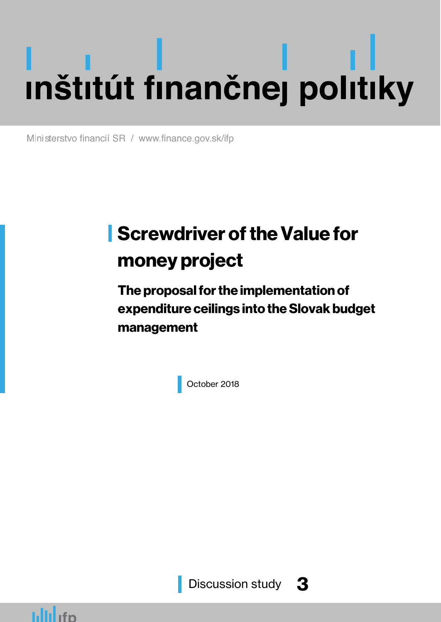# J l j

Ministerstvo financií SR / www.finance.gov.sk/ifp

# **Screwdriver of the Value for** money project

The proposal for the implementation of expenditure ceilings into the Slovak budget management

October 2018

Discussion study 3

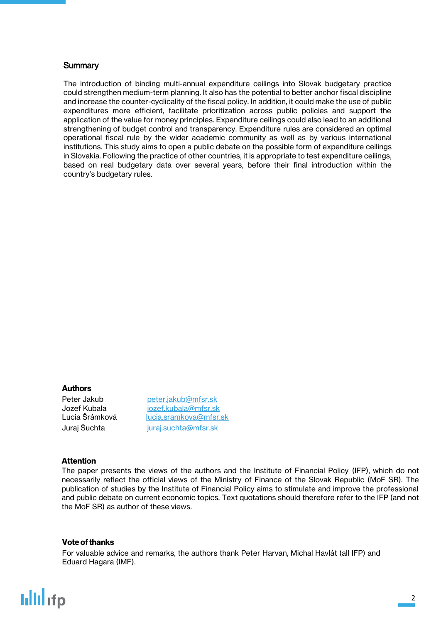### **Summary**

The introduction of binding multi-annual expenditure ceilings into Slovak budgetary practice could strengthen medium-term planning. It also has the potential to better anchor fiscal discipline and increase the counter-cyclicality of the fiscal policy. In addition, it could make the use of public expenditures more efficient, facilitate prioritization across public policies and support the application of the value for money principles. Expenditure ceilings could also lead to an additional strengthening of budget control and transparency. Expenditure rules are considered an optimal operational fiscal rule by the wider academic community as well as by various international institutions. This study aims to open a public debate on the possible form of expenditure ceilings in Slovakia. Following the practice of other countries, it is appropriate to test expenditure ceilings, based on real budgetary data over several years, before their final introduction within the country's budgetary rules.

### Authors

Peter Jakub [peter.jakub@mfsr.sk](mailto:peter.jakub@mfsr.sk) Jozef Kubala [jozef.kubala@mfsr.sk](mailto:jozef.kubala@mfsr.sk) Lucia Šrámková [lucia.sramkova@mfsr.sk](mailto:lucia.sramkova@mfsr.sk) Juraj Šuchta [juraj.suchta@mfsr.sk](mailto:juraj.suchta@mfsr.sk)

#### Attention

The paper presents the views of the authors and the Institute of Financial Policy (IFP), which do not necessarily reflect the official views of the Ministry of Finance of the Slovak Republic (MoF SR). The publication of studies by the Institute of Financial Policy aims to stimulate and improve the professional and public debate on current economic topics. Text quotations should therefore refer to the IFP (and not the MoF SR) as author of these views.

#### Vote of thanks

For valuable advice and remarks, the authors thank Peter Harvan, Michal Havlát (all IFP) and Eduard Hagara (IMF).

## **ullil**ifp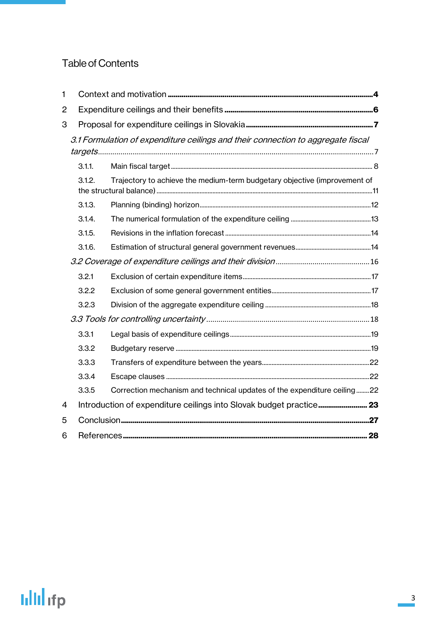## Table of Contents

| 1              |        |                                                                                  |  |  |  |
|----------------|--------|----------------------------------------------------------------------------------|--|--|--|
| $\overline{2}$ |        |                                                                                  |  |  |  |
| 3              |        |                                                                                  |  |  |  |
|                |        | 3.1 Formulation of expenditure ceilings and their connection to aggregate fiscal |  |  |  |
|                |        |                                                                                  |  |  |  |
|                | 3.1.1. |                                                                                  |  |  |  |
|                | 3.1.2. | Trajectory to achieve the medium-term budgetary objective (improvement of        |  |  |  |
|                | 3.1.3. |                                                                                  |  |  |  |
|                | 3.1.4. |                                                                                  |  |  |  |
|                | 3.1.5. |                                                                                  |  |  |  |
|                | 3.1.6. |                                                                                  |  |  |  |
|                |        |                                                                                  |  |  |  |
|                | 3.2.1  |                                                                                  |  |  |  |
|                | 3.2.2  |                                                                                  |  |  |  |
|                | 3.2.3  |                                                                                  |  |  |  |
|                |        |                                                                                  |  |  |  |
|                | 3.3.1  |                                                                                  |  |  |  |
|                | 3.3.2  |                                                                                  |  |  |  |
|                | 3.3.3  |                                                                                  |  |  |  |
|                | 3.3.4  |                                                                                  |  |  |  |
|                | 3.3.5  | Correction mechanism and technical updates of the expenditure ceiling22          |  |  |  |
| 4              |        |                                                                                  |  |  |  |
| 5              |        |                                                                                  |  |  |  |
| 6              |        |                                                                                  |  |  |  |

# **Iilli** ifp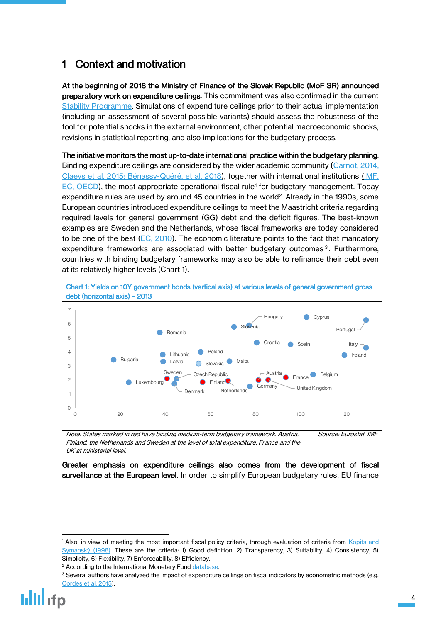## <span id="page-3-0"></span>1 Context and motivation

At the beginning of 2018 the Ministry of Finance of the Slovak Republic (MoF SR) announced preparatory work on expenditure ceilings. This commitment was also confirmed in the current [Stability Programme.](http://finance.gov.sk/Default.aspx?CatID=120) Simulations of expenditure ceilings prior to their actual implementation (including an assessment of several possible variants) should assess the robustness of the tool for potential shocks in the external environment, other potential macroeconomic shocks, revisions in statistical reporting, and also implications for the budgetary process.

The initiative monitors the most up-to-date international practice within the budgetary planning. Binding expenditure ceilings are considered by the wider academic community [\(Carnot, 2014,](http://ec.europa.eu/economy_finance/publications/economic_paper/2014/pdf/ecp526_en.pdf) [Claeys et al, 2015;](http://bruegel.org/2016/03/a-proposal-to-revive-the-european-fiscal-framework/) Bénassy-[Quéré, et al, 2018](https://cepr.org/active/publications/policy_insights/viewpi.php?pino=91)), together with international institutions [\(IMF,](https://www.imf.org/external/pubs/ft/sdn/2015/sdn1509.pdf) [EC,](https://ec.europa.eu/commission/sites/beta-political/files/reflection-paper-emu_en.pdf) [OECD\)](https://www.oecd.org/eco/Achieving-prudent-debt-targets-using-fiscal-rules-OECD-policy-note-28.pdf), the most appropriate operational fiscal rule<sup>1</sup> for budgetary management. Today expenditure rules are used by around 45 countries in the world<sup>2</sup>. Already in the 1990s, some European countries introduced expenditure ceilings to meet the Maastricht criteria regarding required levels for general government (GG) debt and the deficit figures. The best-known examples are Sweden and the Netherlands, whose fiscal frameworks are today considered to be one of the best  $(EC, 2010)$ . The economic literature points to the fact that mandatory expenditure frameworks are associated with better budgetary outcomes<sup>3</sup>. Furthermore, countries with binding budgetary frameworks may also be able to refinance their debt even at its relatively higher levels (Chart 1).

Chart 1: Yields on 10Y government bonds (vertical axis) at various levels of general government gross debt (horizontal axis) – 2013



Note: States marked in red have binding medium-term budgetary framework. Austria, Finland, the Netherlands and Sweden at the level of total expenditure. France and the UK at ministerial level. Source: Eurostat, IMF

Greater emphasis on expenditure ceilings also comes from the development of fiscal surveillance at the European level. In order to simplify European budgetary rules, EU finance

<sup>&</sup>lt;sup>1</sup> Also, in view of meeting the most important fiscal policy criteria, through evaluation of criteria from Kopits and [Symanský](https://www.imf.org/en/Publications/Occasional-Papers/Issues/2016/12/30/Fiscal-Policy-Rules-2608) (1998). These are the criteria: 1) Good definition, 2) Transparency, 3) Suitability, 4) Consistency, 5) Simplicity, 6) Flexibility, 7) Enforceability, 8) Efficiency.

<sup>&</sup>lt;sup>2</sup> According to the International Monetary Fund [database.](https://www.imf.org/external/datamapper/fiscalrules/Fiscal%20Rules%20at%20a%20Glance%20-%20Background%20Paper.pdf)

<sup>&</sup>lt;sup>3</sup> Several authors have analyzed the impact of expenditure ceilings on fiscal indicators by econometric methods (e.g. [Cordes et al, 2015\)](https://www.imf.org/en/Publications/WP/Issues/2016/12/31/Expenditure-Rules-Effective-Tools-for-Sound-Fiscal-Policy-42706).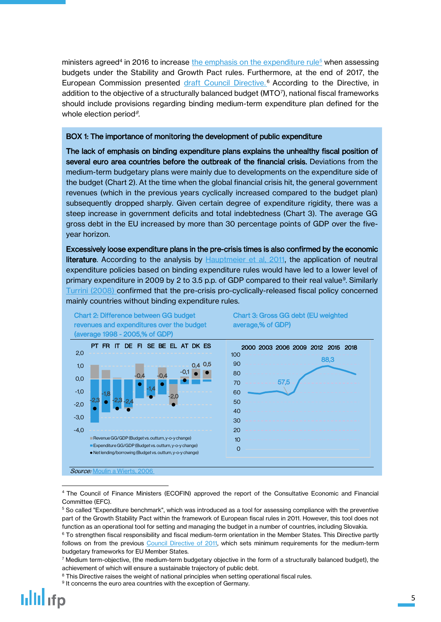ministers agreed<sup>4</sup> in 2016 to increase <u>the emphasis on the expenditure rule<sup>5</sup></u> when assessing budgets under the Stability and Growth Pact rules. Furthermore, at the end of 2017, the European Commission presented <u>draft Council Directive.</u><sup>6</sup> According to the Directive, in addition to the objective of a structurally balanced budget (MTO<sup>7</sup>), national fiscal frameworks should include provisions regarding binding medium-term expenditure plan defined for the whole election period<sup>8</sup>.

#### BOX 1: The importance of monitoring the development of public expenditure

The lack of emphasis on binding expenditure plans explains the unhealthy fiscal position of several euro area countries before the outbreak of the financial crisis. Deviations from the medium-term budgetary plans were mainly due to developments on the expenditure side of the budget (Chart 2). At the time when the global financial crisis hit, the general government revenues (which in the previous years cyclically increased compared to the budget plan) subsequently dropped sharply. Given certain degree of expenditure rigidity, there was a steep increase in government deficits and total indebtedness (Chart 3). The average GG gross debt in the EU increased by more than 30 percentage points of GDP over the fiveyear horizon.

Excessively loose expenditure plans in the pre-crisis times is also confirmed by the economic literature. According to the analysis by [Hauptmeier et al, 2011,](http://citeseerx.ist.psu.edu/viewdoc/download?doi=10.1.1.186.3294&rep=rep1&type=pdf) the application of neutral expenditure policies based on binding expenditure rules would have led to a lower level of primary expenditure in 2009 by 2 to 3.5 p.p. of GDP compared to their real value<sup>9</sup>. Similarly [Turrini \(2008\)](http://ec.europa.eu/economy_finance/publications/pages/publication12600_en.pdf) confirmed that the pre-crisis pro-cyclically-released fiscal policy concerned mainly countries without binding expenditure rules.



 $\ddot{\phantom{a}}$ <sup>4</sup> The Council of Finance Ministers (ECOFIN) approved the report of the Consultative Economic and Financial Committee (EFC).

<sup>&</sup>lt;sup>9</sup> It concerns the euro area countries with the exception of Germany.



<sup>5</sup> So called "Expenditure benchmark", which was introduced as a tool for assessing compliance with the preventive part of the Growth Stability Pact within the framework of European fiscal rules in 2011. However, this tool does not function as an operational tool for setting and managing the budget in a number of countries, including Slovakia.

<sup>&</sup>lt;sup>6</sup> To strengthen fiscal responsibility and fiscal medium-term orientation in the Member States. This Directive partly follows on from the previous [Council Directive of 2011,](https://eur-lex.europa.eu/legal-content/SK/TXT/?uri=CELEX:32011L0085) which sets minimum requirements for the medium-term budgetary frameworks for EU Member States.

 $^7$  Medium term-objective, (the medium-term budgetary objective in the form of a structurally balanced budget), the achievement of which will ensure a sustainable trajectory of public debt.

<sup>&</sup>lt;sup>8</sup> This Directive raises the weight of national principles when setting operational fiscal rules.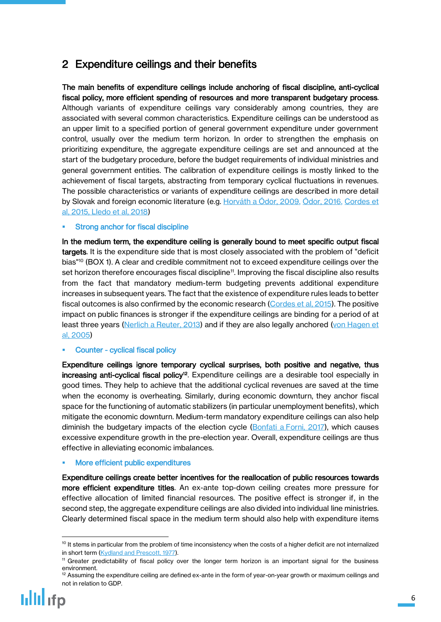## <span id="page-5-0"></span>2 Expenditure ceilings and their benefits

The main benefits of expenditure ceilings include anchoring of fiscal discipline, anti-cyclical fiscal policy, more efficient spending of resources and more transparent budgetary process. Although variants of expenditure ceilings vary considerably among countries, they are associated with several common characteristics. Expenditure ceilings can be understood as an upper limit to a specified portion of general government expenditure under government control, usually over the medium term horizon. In order to strengthen the emphasis on prioritizing expenditure, the aggregate expenditure ceilings are set and announced at the start of the budgetary procedure, before the budget requirements of individual ministries and general government entities. The calibration of expenditure ceilings is mostly linked to the achievement of fiscal targets, abstracting from temporary cyclical fluctuations in revenues. The possible characteristics or variants of expenditure ceilings are described in more detail by Slovak and foreign economic literature (e.g. Horváth a [Ódor, 2009](https://www.nbs.sk/_img/Documents/PUBLIK/DP_2-2009.pdf), [Ódor, 2016](http://www.rozpoctovarada.sk/download2/EXP_CEILINGS_FV_final_04.pdf), [Cordes et](https://www.imf.org/external/pubs/ft/wp/2015/wp1529.pdf)  [al, 2015,](https://www.imf.org/external/pubs/ft/wp/2015/wp1529.pdf) [Lledo et al, 2018\)](https://www.imf.org/en/Publications/Fiscal-Affairs-Department-How-To-Notes/Issues/2018/03/15/How-to-Select-Fiscal-Rules-A-Primer-45552)

### Strong anchor for fiscal discipline

In the medium term, the expenditure ceiling is generally bound to meet specific output fiscal targets. It is the expenditure side that is most closely associated with the problem of "deficit bias" <sup>10</sup> (BOX 1). A clear and credible commitment not to exceed expenditure ceilings over the set horizon therefore encourages fiscal discipline<sup>11</sup> . Improving the fiscal discipline also results from the fact that mandatory medium-term budgeting prevents additional expenditure increases in subsequent years. The fact that the existence of expenditure rules leads to better fiscal outcomes is also confirmed by the economic research [\(Cordes et al, 2015\)](https://www.imf.org/external/pubs/ft/wp/2015/wp1529.pdf). The positive impact on public finances is stronger if the expenditure ceilings are binding for a period of at least three years (Nerlich a [Reuter, 2013\)](https://www.ecb.europa.eu/pub/pdf/scpwps/ecbwp1588.pdf?a7b3bc425c8f13a6cbfb802304d0da96) and if they are also legally anchored (von Hagen et [al, 2005\)](https://poseidon01.ssrn.com/delivery.php?ID=551078094095125011071001116025012095113049061083007066108124000002119093018007106090034029025017045016027107103000087116125106034036032044070124006015124080046013094124104030106125090070077064016067085121079116126092025112066097109069066099118&EXT=pdf)

## Counter - cyclical fiscal policy

Expenditure ceilings ignore temporary cyclical surprises, both positive and negative, thus increasing anti-cyclical fiscal policy<sup>12</sup>. Expenditure ceilings are a desirable tool especially in good times. They help to achieve that the additional cyclical revenues are saved at the time when the economy is overheating. Similarly, during economic downturn, they anchor fiscal space for the functioning of automatic stabilizers (in particular unemployment benefits), which mitigate the economic downturn. Medium-term mandatory expenditure ceilings can also help diminish the budgetary impacts of the election cycle (Bonfati a [Forni, 2017\)](https://www.imf.org/en/Publications/WP/Issues/2017/01/20/Fiscal-Rules-to-Tame-the-Political-Budget-Cycle-Evidence-from-Italian-Municipalities-44553), which causes excessive expenditure growth in the pre-election year. Overall, expenditure ceilings are thus effective in alleviating economic imbalances.

### More efficient public expenditures

Expenditure ceilings create better incentives for the reallocation of public resources towards more efficient expenditure titles. An ex-ante top-down ceiling creates more pressure for effective allocation of limited financial resources. The positive effect is stronger if, in the second step, the aggregate expenditure ceilings are also divided into individual line ministries. Clearly determined fiscal space in the medium term should also help with expenditure items

<sup>&</sup>lt;sup>12</sup> Assuming the expenditure ceiling are defined ex-ante in the form of year-on-year growth or maximum ceilings and not in relation to GDP.



 $\ddot{\phantom{a}}$ <sup>10</sup> It stems in particular from the problem of time inconsistency when the costs of a higher deficit are not internalized in short term [\(Kydland and Prescott, 1977\)](https://minneapolisfed.org/~/media/files/research/prescott/papers/rulesdiscretion.pdf?la=en).

<sup>11</sup> Greater predictability of fiscal policy over the longer term horizon is an important signal for the business environment.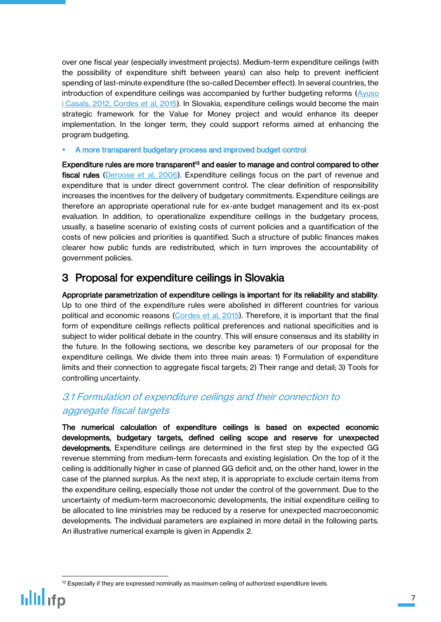over one fiscal year (especially investment projects). Medium-term expenditure ceilings (with the possibility of expenditure shift between years) can also help to prevent inefficient spending of last-minute expenditure (the so-called December effect). In several countries, the introduction of expenditure ceilings was accompanied by further budgeting reforms (Ayuso i [Casals, 2012,](http://ec.europa.eu/economy_finance/publications/economic_paper/2012/pdf/ecp473_en.pdf) [Cordes et al, 2015\)](https://www.imf.org/external/pubs/ft/wp/2015/wp1529.pdf). In Slovakia, expenditure ceilings would become the main strategic framework for the Value for Money project and would enhance its deeper implementation. In the longer term, they could support reforms aimed at enhancing the program budgeting.

A more transparent budgetary process and improved budget control

Expenditure rules are more transparent<sup>13</sup> and easier to manage and control compared to other fiscal rules [\(Deroose et al, 2006\)](https://www.econbiz.de/Record/national-expenditure-rules-and-expenditure-outcomes-evidence-for-eu-member-states-deroose-servaas/10003298269). Expenditure ceilings focus on the part of revenue and expenditure that is under direct government control. The clear definition of responsibility increases the incentives for the delivery of budgetary commitments. Expenditure ceilings are therefore an appropriate operational rule for ex-ante budget management and its ex-post evaluation. In addition, to operationalize expenditure ceilings in the budgetary process, usually, a baseline scenario of existing costs of current policies and a quantification of the costs of new policies and priorities is quantified. Such a structure of public finances makes clearer how public funds are redistributed, which in turn improves the accountability of government policies.

## <span id="page-6-0"></span>3 Proposal for expenditure ceilings in Slovakia

Appropriate parametrization of expenditure ceilings is important for its reliability and stability. Up to one third of the expenditure rules were abolished in different countries for various political and economic reasons [\(Cordes et al, 2015\)](https://www.imf.org/external/pubs/ft/wp/2015/wp1529.pdf). Therefore, it is important that the final form of expenditure ceilings reflects political preferences and national specificities and is subject to wider political debate in the country. This will ensure consensus and its stability in the future. In the following sections, we describe key parameters of our proposal for the expenditure ceilings. We divide them into three main areas: 1) Formulation of expenditure limits and their connection to aggregate fiscal targets; 2) Their range and detail; 3) Tools for controlling uncertainty.

## <span id="page-6-1"></span>3.1 Formulation of expenditure ceilings and their connection to aggregate fiscal targets

The numerical calculation of expenditure ceilings is based on expected economic developments, budgetary targets, defined ceiling scope and reserve for unexpected developments. Expenditure ceilings are determined in the first step by the expected GG revenue stemming from medium-term forecasts and existing legislation. On the top of it the ceiling is additionally higher in case of planned GG deficit and, on the other hand, lower in the case of the planned surplus. As the next step, it is appropriate to exclude certain items from the expenditure ceiling, especially those not under the control of the government. Due to the uncertainty of medium-term macroeconomic developments, the initial expenditure ceiling to be allocated to line ministries may be reduced by a reserve for unexpected macroeconomic developments. The individual parameters are explained in more detail in the following parts. An illustrative numerical example is given in Appendix 2.

 $\ddot{\phantom{a}}$ <sup>13</sup> Especially if they are expressed nominally as maximum ceiling of authorized expenditure levels.

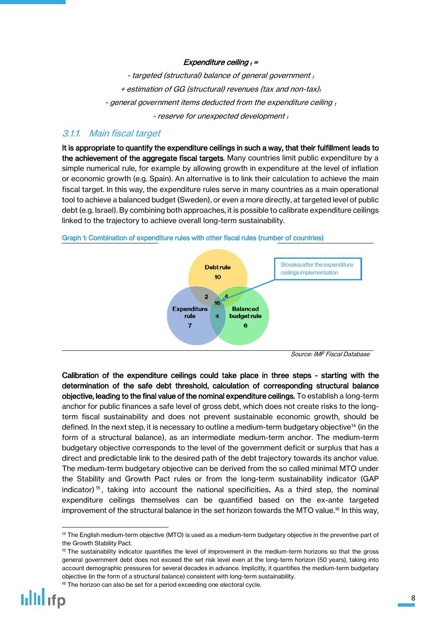### Expenditure ceiling  $t =$

- targeted (structural) balance of general government  $_t$ + estimation of GG (structural) revenues (tax and non-tax)<sub>t</sub> - general government items deducted from the expenditure ceiling  $_t$ - reserve for unexpected development  $_t$ 

## <span id="page-7-0"></span>3.1.1. Main fiscal target

It is appropriate to quantify the expenditure ceilings in such a way, that their fulfillment leads to the achievement of the aggregate fiscal targets. Many countries limit public expenditure by a simple numerical rule, for example by allowing growth in expenditure at the level of inflation or economic growth (e.g. Spain). An alternative is to link their calculation to achieve the main fiscal target. In this way, the expenditure rules serve in many countries as a main operational tool to achieve a balanced budget (Sweden), or even a more directly, at targeted level of public debt (e.g. Israel). By combining both approaches, it is possible to calibrate expenditure ceilings linked to the trajectory to achieve overall long-term sustainability.



Graph 1: Combination of expenditure rules with other fiscal rules (number of countries)

Calibration of the expenditure ceilings could take place in three steps - starting with the determination of the safe debt threshold, calculation of corresponding structural balance objective, leading to the final value of the nominal expenditure ceilings. To establish a long-term anchor for public finances a safe level of gross debt, which does not create risks to the longterm fiscal sustainability and does not prevent sustainable economic growth, should be defined. In the next step, it is necessary to outline a medium-term budgetary objective<sup>14</sup> (in the form of a structural balance), as an intermediate medium-term anchor. The medium-term budgetary objective corresponds to the level of the government deficit or surplus that has a direct and predictable link to the desired path of the debt trajectory towards its anchor value. The medium-term budgetary objective can be derived from the so called minimal MTO under the Stability and Growth Pact rules or from the long-term sustainability indicator (GAP indicator)<sup>15</sup>, taking into account the national specificities. As a third step, the nominal expenditure ceilings themselves can be quantified based on the ex-ante targeted improvement of the structural balance in the set horizon towards the MTO value.<sup>16</sup> In this way,

<sup>&</sup>lt;sup>14</sup> The English medium-term objective (MTO) is used as a medium-term budgetary objective in the preventive part of the Growth Stability Pact.

<sup>&</sup>lt;sup>15</sup> The sustainability indicator quantifies the level of improvement in the medium-term horizons so that the gross general government debt does not exceed the set risk level even at the long-term horizon (50 years), taking into account demographic pressures for several decades in advance. Implicitly, it quantifies the medium-term budgetary objective (in the form of a structural balance) consistent with long-term sustainability.

 $16$  The horizon can also be set for a period exceeding one electoral cycle.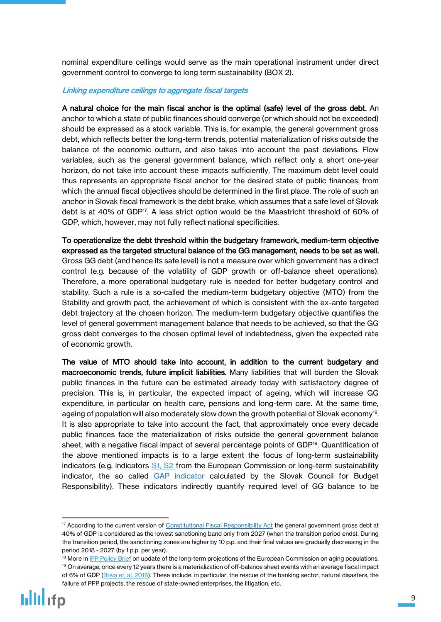nominal expenditure ceilings would serve as the main operational instrument under direct government control to converge to long term sustainability (BOX 2).

#### Linking expenditure ceilings to aggregate fiscal targets

A natural choice for the main fiscal anchor is the optimal (safe) level of the gross debt. An anchor to which a state of public finances should converge (or which should not be exceeded) should be expressed as a stock variable. This is, for example, the general government gross debt, which reflects better the long-term trends, potential materialization of risks outside the balance of the economic outturn, and also takes into account the past deviations. Flow variables, such as the general government balance, which reflect only a short one-year horizon, do not take into account these impacts sufficiently. The maximum debt level could thus represents an appropriate fiscal anchor for the desired state of public finances, from which the annual fiscal objectives should be determined in the first place. The role of such an anchor in Slovak fiscal framework is the debt brake, which assumes that a safe level of Slovak debt is at 40% of GDP<sup>17</sup>. A less strict option would be the Maastricht threshold of 60% of GDP, which, however, may not fully reflect national specificities.

To operationalize the debt threshold within the budgetary framework, medium-term objective expressed as the targeted structural balance of the GG management, needs to be set as well. Gross GG debt (and hence its safe level) is not a measure over which government has a direct control (e.g. because of the volatility of GDP growth or off-balance sheet operations). Therefore, a more operational budgetary rule is needed for better budgetary control and stability. Such a rule is a so-called the medium-term budgetary objective (MTO) from the Stability and growth pact, the achievement of which is consistent with the ex-ante targeted debt trajectory at the chosen horizon. The medium-term budgetary objective quantifies the level of general government management balance that needs to be achieved, so that the GG gross debt converges to the chosen optimal level of indebtedness, given the expected rate of economic growth.

The value of MTO should take into account, in addition to the current budgetary and macroeconomic trends, future implicit liabilities. Many liabilities that will burden the Slovak public finances in the future can be estimated already today with satisfactory degree of precision. This is, in particular, the expected impact of ageing, which will increase GG expenditure, in particular on health care, pensions and long-term care. At the same time, ageing of population will also moderately slow down the growth potential of Slovak economy<sup>18</sup>. It is also appropriate to take into account the fact, that approximately once every decade public finances face the materialization of risks outside the general government balance sheet, with a negative fiscal impact of several percentage points of GDP<sup>19</sup>. Quantification of the above mentioned impacts is to a large extent the focus of long-term sustainability indicators (e.g. indicators S1, S2 from [the European Commission or long-term sustainability](https://ec.europa.eu/info/sites/info/files/economy-finance/ip071_en.pdf)  [indicator, the so called G](https://ec.europa.eu/info/sites/info/files/economy-finance/ip071_en.pdf)AP indicator calculated by [the Slovak Council for Budget](http://www.rozpoctovarada.sk/svk/rozpocet/129/sprava-o-dlhodobej-udrzatelnosti-verejnych-financii)  [Responsibility\). These indicators indirectly quantify required level of GG balance](http://www.rozpoctovarada.sk/svk/rozpocet/129/sprava-o-dlhodobej-udrzatelnosti-verejnych-financii) to be

<sup>&</sup>lt;sup>17</sup> According to the current version of [Constitutional Fiscal](http://www.rozpoctovarada.sk/images/Legislativa_SR/Zakon_493_2011_20121028.pdf) Responsibility Act the general government gross debt at 40% of GDP is considered as the lowest sanctioning band only from 2027 (when the transition period ends). During the transition period, the sanctioning zones are higher by 10 p.p. and their final values are gradually decreasing in the period 2018 - 2027 (by 1 p.p. per year).

<sup>&</sup>lt;sup>18</sup> More in **[IFP Policy Brief](http://www.finance.gov.sk/Default.aspx?CatID=11771)** on update of the long-term projections of the European Commission on aging populations. <sup>19</sup> On average, once every 12 years there is a materialization of off-balance sheet events with an average fiscal impact of 6% of GDP [\(Bova et, al, 2016\)](https://www.imf.org/external/pubs/ft/wp/2016/wp1614.pdf). These include, in particular, the rescue of the banking sector, natural disasters, the failure of PPP projects, the rescue of state-owned enterprises, the litigation, etc.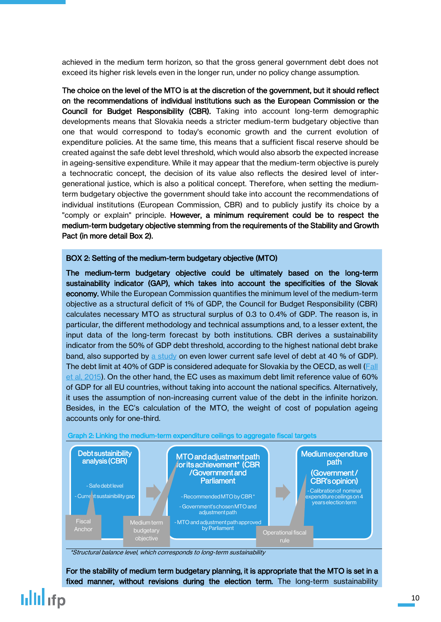[achieved in the medium term horizon, so that the gross general government debt does not](http://www.rozpoctovarada.sk/svk/rozpocet/129/sprava-o-dlhodobej-udrzatelnosti-verejnych-financii)  [exceed its higher risk levels even in the longer](http://www.rozpoctovarada.sk/svk/rozpocet/129/sprava-o-dlhodobej-udrzatelnosti-verejnych-financii) run, under no policy change assumption.

The choice on the level of the MTO is at the discretion of the government, but it should reflect on the recommendations of individual institutions such as the European Commission or the Council for Budget Responsibility (CBR). Taking into account long-term demographic developments means that Slovakia needs a stricter medium-term budgetary objective than one that would correspond to today's economic growth and the current evolution of expenditure policies. At the same time, this means that a sufficient fiscal reserve should be created against the safe debt level threshold, which would also absorb the expected increase in ageing-sensitive expenditure. While it may appear that the medium-term objective is purely a technocratic concept, the decision of its value also reflects the desired level of intergenerational justice, which is also a political concept. Therefore, when setting the mediumterm budgetary objective the government should take into account the recommendations of individual institutions (European Commission, CBR) and to publicly justify its choice by a "comply or explain" principle. However, a minimum requirement could be to respect the medium-term budgetary objective stemming from the requirements of the Stability and Growth Pact (in more detail Box 2).

### BOX 2: Setting of the medium-term budgetary objective (MTO)

The medium-term budgetary objective could be ultimately based on the long-term sustainability indicator (GAP), which takes into account the specificities of the Slovak economy. While the European Commission quantifies the minimum level of the medium-term objective as a structural deficit of 1% of GDP, the Council for Budget Responsibility (CBR) calculates necessary MTO as structural surplus of 0.3 to 0.4% of GDP. The reason is, in particular, the different methodology and technical assumptions and, to a lesser extent, the input data of the long-term forecast by both institutions. CBR derives a sustainability indicator from the 50% of GDP debt threshold, according to the highest national debt brake band, also supported by [a study](http://www.rozpoctovarada.sk/svk/rozpocet/281/is-the-maastricht-debt-limit-safe-enough-for-slovakia) on even lower current safe level of debt at 40 % of GDP). The debt limit at 40% of GDP is considered adequate for Slovakia by the OECD, as well (Fall [et al, 2015\)](https://www.oecd-ilibrary.org/docserver/5jrxtjmmt9f7-en.pdf?expires=1531903104&id=id&accname=guest&checksum=502EF1DF79D1E2F67126F22EBBCB9D13). On the other hand, the EC uses as maximum debt limit reference value of 60% of GDP for all EU countries, without taking into account the national specifics. Alternatively, it uses the assumption of non-increasing current value of the debt in the infinite horizon. Besides, in the EC's calculation of the MTO, the weight of cost of population ageing accounts only for one-third.



\*Structural balance level, which corresponds to long-term sustainability

For the stability of medium term budgetary planning, it is appropriate that the MTO is set in a fixed manner, without revisions during the election term. The long-term sustainability

## lilli ifp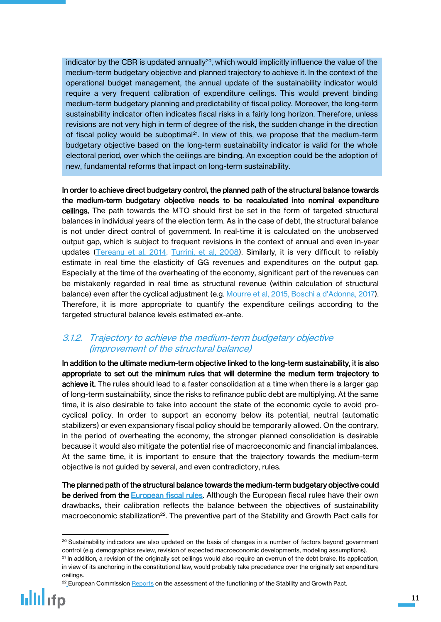indicator by the CBR is updated annually<sup>20</sup>, which would implicitly influence the value of the medium-term budgetary objective and planned trajectory to achieve it. In the context of the operational budget management, the annual update of the sustainability indicator would require a very frequent calibration of expenditure ceilings. This would prevent binding medium-term budgetary planning and predictability of fiscal policy. Moreover, the long-term sustainability indicator often indicates fiscal risks in a fairly long horizon. Therefore, unless revisions are not very high in term of degree of the risk, the sudden change in the direction of fiscal policy would be suboptimal<sup>21</sup>. In view of this, we propose that the medium-term budgetary objective based on the long-term sustainability indicator is valid for the whole electoral period, over which the ceilings are binding. An exception could be the adoption of new, fundamental reforms that impact on long-term sustainability.

In order to achieve direct budgetary control, the planned path of the structural balance towards the medium-term budgetary objective needs to be recalculated into nominal expenditure ceilings. The path towards the MTO should first be set in the form of targeted structural balances in individual years of the election term. As in the case of debt, the structural balance is not under direct control of government. In real-time it is calculated on the unobserved output gap, which is subject to frequent revisions in the context of annual and even in-year updates [\(Tereanu et al. 2014,](https://www.imf.org/external/pubs/ft/wp/2014/wp14107.pdf) Turrini, et al. 2008). Similarly, it is very difficult to reliably estimate in real time the elasticity of GG revenues and expenditures on the output gap. Especially at the time of the overheating of the economy, significant part of the revenues can be mistakenly regarded in real time as structural revenue (within calculation of structural balance) even after the cyclical adjustment (e.g. [Mourre et al, 2015,](https://ec.europa.eu/info/sites/info/files/dp018_en.pdf) Boschi a [d'Adonna, 2017](http://host.uniroma3.it/docenti/daddona/taxes.pdf)). Therefore, it is more appropriate to quantify the expenditure ceilings according to the targeted structural balance levels estimated ex-ante.

## <span id="page-10-0"></span>3.1.2. Trajectory to achieve the medium-term budgetary objective (improvement of the structural balance)

In addition to the ultimate medium-term objective linked to the long-term sustainability, it is also appropriate to set out the minimum rules that will determine the medium term trajectory to achieve it. The rules should lead to a faster consolidation at a time when there is a larger gap of long-term sustainability, since the risks to refinance public debt are multiplying. At the same time, it is also desirable to take into account the state of the economic cycle to avoid procyclical policy. In order to support an economy below its potential, neutral (automatic stabilizers) or even expansionary fiscal policy should be temporarily allowed. On the contrary, in the period of overheating the economy, the stronger planned consolidation is desirable because it would also mitigate the potential rise of macroeconomic and financial imbalances. At the same time, it is important to ensure that the trajectory towards the medium-term objective is not guided by several, and even contradictory, rules.

The planned path of the structural balance towards the medium-term budgetary objective could be derived from the **European fiscal rules**. Although the European fiscal rules have their own drawbacks, their calibration reflects the balance between the objectives of sustainability macroeconomic stabilization<sup>22</sup>. The preventive part of the Stability and Growth Pact calls for

<sup>&</sup>lt;sup>22</sup> European Commission [Reports](https://ec.europa.eu/info/business-economy-euro/economic-and-fiscal-policy-coordination/eu-economic-governance-monitoring-prevention-correction/stability-and-growth-pact/applying-rules-stability-and-growth-pact_en) on the assessment of the functioning of the Stability and Growth Pact.



<sup>&</sup>lt;sup>20</sup> Sustainability indicators are also updated on the basis of changes in a number of factors beyond government control (e.g. demographics review, revision of expected macroeconomic developments, modeling assumptions).

<sup>&</sup>lt;sup>21</sup> In addition, a revision of the originally set ceilings would also require an overrun of the debt brake. Its application, in view of its anchoring in the constitutional law, would probably take precedence over the originally set expenditure ceilings.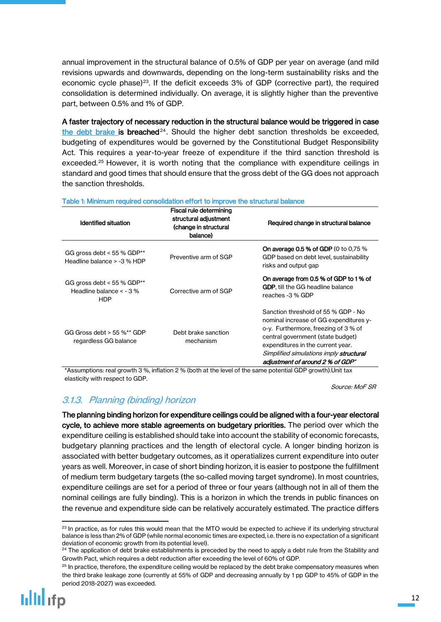annual improvement in the structural balance of 0.5% of GDP per year on average (and mild revisions upwards and downwards, depending on the long-term sustainability risks and the economic cycle phase)<sup>23</sup>. If the deficit exceeds 3% of GDP (corrective part), the required consolidation is determined individually. On average, it is slightly higher than the preventive part, between 0.5% and 1% of GDP.

A faster trajectory of necessary reduction in the structural balance would be triggered in case [the debt brake](http://www.rozpoctovarada.sk/images/Legislativa_SR/Zakon_493_2011_20121028.pdf) is breached<sup>24</sup>. Should the higher debt sanction thresholds be exceeded, budgeting of expenditures would be governed by the Constitutional Budget Responsibility Act. This requires a year-to-year freeze of expenditure if the third sanction threshold is exceeded.<sup>25</sup> However, it is worth noting that the compliance with expenditure ceilings in standard and good times that should ensure that the gross debt of the GG does not approach the sanction thresholds.

| Identified situation                                                     | Fiscal rule determining<br>structural adjustment<br>(change in structural<br>balance) | Required change in structural balance                                                                                                                                                                                                                                          |
|--------------------------------------------------------------------------|---------------------------------------------------------------------------------------|--------------------------------------------------------------------------------------------------------------------------------------------------------------------------------------------------------------------------------------------------------------------------------|
| GG gross debt < $55\%$ GDP**<br>Headline balance > -3 % HDP              | Preventive arm of SGP                                                                 | <b>On average 0.5 % of GDP</b> (0 to 0.75 %)<br>GDP based on debt level, sustainability<br>risks and output gap                                                                                                                                                                |
| GG gross debt < $55\%$ GDP**<br>Headline balance $<$ - 3 %<br><b>HDP</b> | Corrective arm of SGP                                                                 | On average from 0.5 % of GDP to 1 % of<br><b>GDP</b> , till the GG headline balance<br>reaches -3 % GDP                                                                                                                                                                        |
| GG Gross debt $>$ 55 %** GDP<br>regardless GG balance                    | Debt brake sanction<br>mechanism                                                      | Sanction threshold of 55 % GDP - No<br>nominal increase of GG expenditures y-<br>o-y. Furthermore, freezing of 3 % of<br>central government (state budget)<br>expenditures in the current year.<br>Simplified simulations imply structural<br>adiustment of around 2 % of GDP* |

#### Table 1: Minimum required consolidation effort to improve the structural balance

\*Assumptions: real growth 3 %, inflation 2 % (both at the level of the same potential GDP growth).Unit tax elasticity with respect to GDP.

Source: MoF SR

## <span id="page-11-0"></span>3.1.3. Planning (binding) horizon

The planning binding horizon for expenditure ceilings could be aligned with a four-year electoral cycle, to achieve more stable agreements on budgetary priorities. The period over which the expenditure ceiling is established should take into account the stability of economic forecasts, budgetary planning practices and the length of electoral cycle. A longer binding horizon is associated with better budgetary outcomes, as it operatializes current expenditure into outer years as well. Moreover, in case of short binding horizon, it is easier to postpone the fulfillment of medium term budgetary targets (the so-called moving target syndrome). In most countries, expenditure ceilings are set for a period of three or four years (although not in all of them the nominal ceilings are fully binding). This is a horizon in which the trends in public finances on the revenue and expenditure side can be relatively accurately estimated. The practice differs

 $\ddot{\phantom{a}}$  $23$  In practice, as for rules this would mean that the MTO would be expected to achieve if its underlying structural balance is less than 2% of GDP (while normal economic times are expected, i.e. there is no expectation of a significant deviation of economic growth from its potential level).

<sup>&</sup>lt;sup>24</sup> The application of debt brake establishments is preceded by the need to apply a debt rule from the Stability and Growth Pact, which requires a debt reduction after exceeding the level of 60% of GDP.

 $25$  In practice, therefore, the expenditure ceiling would be replaced by the debt brake compensatory measures when the third brake leakage zone (currently at 55% of GDP and decreasing annually by 1 pp GDP to 45% of GDP in the period 2018-2027) was exceeded.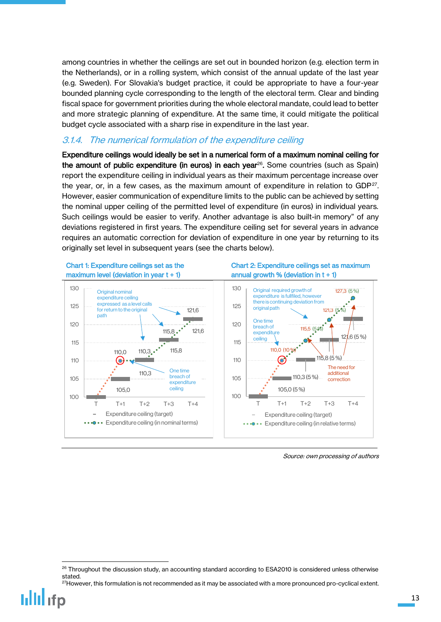among countries in whether the ceilings are set out in bounded horizon (e.g. election term in the Netherlands), or in a rolling system, which consist of the annual update of the last year (e.g. Sweden). For Slovakia's budget practice, it could be appropriate to have a four-year bounded planning cycle corresponding to the length of the electoral term. Clear and binding fiscal space for government priorities during the whole electoral mandate, could lead to better and more strategic planning of expenditure. At the same time, it could mitigate the political budget cycle associated with a sharp rise in expenditure in the last year.

### <span id="page-12-0"></span>3.1.4. The numerical formulation of the expenditure ceiling

Expenditure ceilings would ideally be set in a numerical form of a maximum nominal ceiling for the amount of public expenditure (in euros) in each year<sup>26</sup>. Some countries (such as Spain) report the expenditure ceiling in individual years as their maximum percentage increase over the year, or, in a few cases, as the maximum amount of expenditure in relation to  $GDP^{27}$ . However, easier communication of expenditure limits to the public can be achieved by setting the nominal upper ceiling of the permitted level of expenditure (in euros) in individual years. Such ceilings would be easier to verify. Another advantage is also built-in memory" of any deviations registered in first years. The expenditure ceiling set for several years in advance requires an automatic correction for deviation of expenditure in one year by returning to its originally set level in subsequent years (see the charts below).



Source: own processing of authors

 $\overline{a}$ 

<sup>&</sup>lt;sup>26</sup> Throughout the discussion study, an accounting standard according to ESA2010 is considered unless otherwise stated.

<sup>&</sup>lt;sup>27</sup>However, this formulation is not recommended as it may be associated with a more pronounced pro-cyclical extent.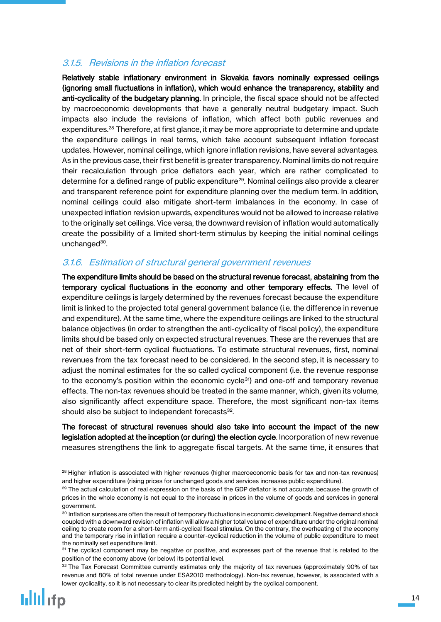## <span id="page-13-0"></span>3.1.5. Revisions in the inflation forecast

Relatively stable inflationary environment in Slovakia favors nominally expressed ceilings (ignoring small fluctuations in inflation), which would enhance the transparency, stability and anti-cyclicality of the budgetary planning. In principle, the fiscal space should not be affected by macroeconomic developments that have a generally neutral budgetary impact. Such impacts also include the revisions of inflation, which affect both public revenues and expenditures.<sup>28</sup> Therefore, at first glance, it may be more appropriate to determine and update the expenditure ceilings in real terms, which take account subsequent inflation forecast updates. However, nominal ceilings, which ignore inflation revisions, have several advantages. As in the previous case, their first benefit is greater transparency. Nominal limits do not require their recalculation through price deflators each year, which are rather complicated to determine for a defined range of public expenditure<sup>29</sup>. Nominal ceilings also provide a clearer and transparent reference point for expenditure planning over the medium term. In addition, nominal ceilings could also mitigate short-term imbalances in the economy. In case of unexpected inflation revision upwards, expenditures would not be allowed to increase relative to the originally set ceilings. Vice versa, the downward revision of inflation would automatically create the possibility of a limited short-term stimulus by keeping the initial nominal ceilings unchanged<sup>30</sup>.

## <span id="page-13-1"></span>3.1.6. Estimation of structural general government revenues

The expenditure limits should be based on the structural revenue forecast, abstaining from the temporary cyclical fluctuations in the economy and other temporary effects. The level of expenditure ceilings is largely determined by the revenues forecast because the expenditure limit is linked to the projected total general government balance (i.e. the difference in revenue and expenditure). At the same time, where the expenditure ceilings are linked to the structural balance objectives (in order to strengthen the anti-cyclicality of fiscal policy), the expenditure limits should be based only on expected structural revenues. These are the revenues that are net of their short-term cyclical fluctuations. To estimate structural revenues, first, nominal revenues from the tax forecast need to be considered. In the second step, it is necessary to adjust the nominal estimates for the so called cyclical component (i.e. the revenue response to the economy's position within the economic cycle<sup>31</sup>) and one-off and temporary revenue effects. The non-tax revenues should be treated in the same manner, which, given its volume, also significantly affect expenditure space. Therefore, the most significant non-tax items should also be subject to independent forecasts<sup>32</sup>.

The forecast of structural revenues should also take into account the impact of the new legislation adopted at the inception (or during) the election cycle. Incorporation of new revenue measures strengthens the link to aggregate fiscal targets. At the same time, it ensures that

<sup>&</sup>lt;sup>28</sup> Higher inflation is associated with higher revenues (higher macroeconomic basis for tax and non-tax revenues) and higher expenditure (rising prices for unchanged goods and services increases public expenditure).

 $29$  The actual calculation of real expression on the basis of the GDP deflator is not accurate, because the growth of prices in the whole economy is not equal to the increase in prices in the volume of goods and services in general government.

<sup>&</sup>lt;sup>30</sup> Inflation surprises are often the result of temporary fluctuations in economic development. Negative demand shock coupled with a downward revision of inflation will allow a higher total volume of expenditure under the original nominal ceiling to create room for a short-term anti-cyclical fiscal stimulus. On the contrary, the overheating of the economy and the temporary rise in inflation require a counter-cyclical reduction in the volume of public expenditure to meet the nominally set expenditure limit.

<sup>&</sup>lt;sup>31</sup> The cyclical component may be negative or positive, and expresses part of the revenue that is related to the position of the economy above (or below) its potential level.

<sup>32</sup> The Tax Forecast Committee currently estimates only the majority of tax revenues (approximately 90% of tax revenue and 80% of total revenue under ESA2010 methodology). Non-tax revenue, however, is associated with a lower cyclicality, so it is not necessary to clear its predicted height by the cyclical component.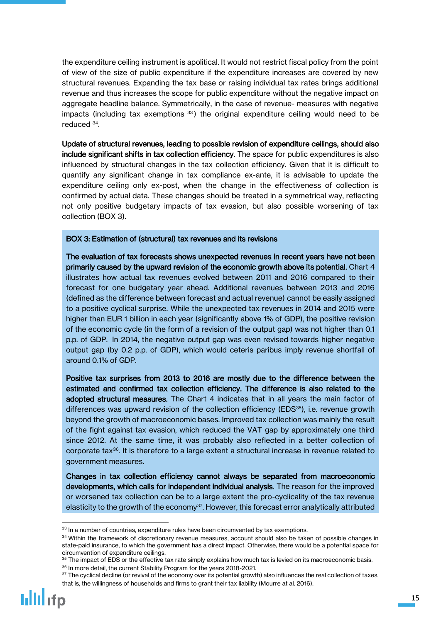the expenditure ceiling instrument is apolitical. It would not restrict fiscal policy from the point of view of the size of public expenditure if the expenditure increases are covered by new structural revenues. Expanding the tax base or raising individual tax rates brings additional revenue and thus increases the scope for public expenditure without the negative impact on aggregate headline balance. Symmetrically, in the case of revenue- measures with negative impacts (including tax exemptions  $33$ ) the original expenditure ceiling would need to be reduced <sup>34</sup> .

Update of structural revenues, leading to possible revision of expenditure ceilings, should also include significant shifts in tax collection efficiency. The space for public expenditures is also influenced by structural changes in the tax collection efficiency. Given that it is difficult to quantify any significant change in tax compliance ex-ante, it is advisable to update the expenditure ceiling only ex-post, when the change in the effectiveness of collection is confirmed by actual data. These changes should be treated in a symmetrical way, reflecting not only positive budgetary impacts of tax evasion, but also possible worsening of tax collection (BOX 3).

### BOX 3: Estimation of (structural) tax revenues and its revisions

The evaluation of tax forecasts shows unexpected revenues in recent years have not been primarily caused by the upward revision of the economic growth above its potential. Chart 4 illustrates how actual tax revenues evolved between 2011 and 2016 compared to their forecast for one budgetary year ahead. Additional revenues between 2013 and 2016 (defined as the difference between forecast and actual revenue) cannot be easily assigned to a positive cyclical surprise. While the unexpected tax revenues in 2014 and 2015 were higher than EUR 1 billion in each year (significantly above 1% of GDP), the positive revision of the economic cycle (in the form of a revision of the output gap) was not higher than 0.1 p.p. of GDP. In 2014, the negative output gap was even revised towards higher negative output gap (by 0.2 p.p. of GDP), which would ceteris paribus imply revenue shortfall of around 0.1% of GDP.

Positive tax surprises from 2013 to 2016 are mostly due to the difference between the estimated and confirmed tax collection efficiency. The difference is also related to the adopted structural measures. The Chart 4 indicates that in all years the main factor of differences was upward revision of the collection efficiency (EDS $35$ ), i.e. revenue growth beyond the growth of macroeconomic bases. Improved tax collection was mainly the result of the fight against tax evasion, which reduced the VAT gap by approximately one third since 2012. At the same time, it was probably also reflected in a better collection of corporate tax<sup>36</sup>. It is therefore to a large extent a structural increase in revenue related to government measures.

Changes in tax collection efficiency cannot always be separated from macroeconomic developments, which calls for independent individual analysis. The reason for the improved or worsened tax collection can be to a large extent the pro-cyclicality of the tax revenue elasticity to the growth of the economy<sup>37</sup>. However, this forecast error analytically attributed

<sup>&</sup>lt;sup>33</sup> In a number of countries, expenditure rules have been circumvented by tax exemptions.

<sup>34</sup> Within the framework of discretionary revenue measures, account should also be taken of possible changes in state-paid insurance, to which the government has a direct impact. Otherwise, there would be a potential space for circumvention of expenditure ceilings.

 $35$  The impact of EDS or the effective tax rate simply explains how much tax is levied on its macroeconomic basis. <sup>36</sup> In more detail, the current Stability Program for the years 2018-2021.

<sup>37</sup> The cyclical decline (or revival of the economy over its potential growth) also influences the real collection of taxes, that is, the willingness of households and firms to grant their tax liability (Mourre at al. 2016).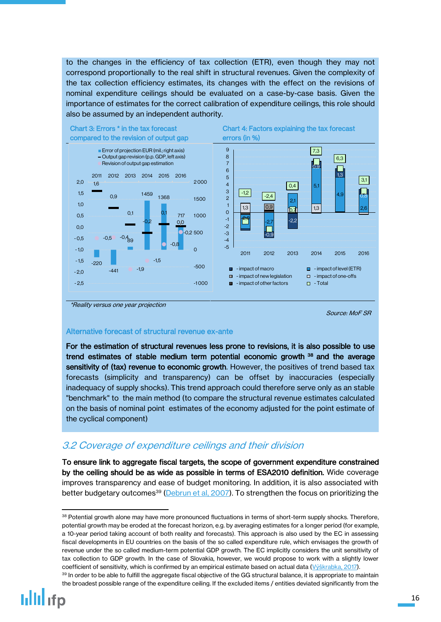to the changes in the efficiency of tax collection (ETR), even though they may not correspond proportionally to the real shift in structural revenues. Given the complexity of the tax collection efficiency estimates, its changes with the effect on the revisions of nominal expenditure ceilings should be evaluated on a case-by-case basis. Given the importance of estimates for the correct calibration of expenditure ceilings, this role should also be assumed by an independent authority.



\*Reality versus one year projection

Source: MoF SR

### Alternative forecast of structural revenue ex-ante

For the estimation of structural revenues less prone to revisions, it is also possible to use trend estimates of stable medium term potential economic growth <sup>38</sup> and the average sensitivity of (tax) revenue to economic growth. However, the positives of trend based tax forecasts (simplicity and transparency) can be offset by inaccuracies (especially inadequacy of supply shocks). This trend approach could therefore serve only as an stable "benchmark" to the main method (to compare the structural revenue estimates calculated on the basis of nominal point estimates of the economy adjusted for the point estimate of the cyclical component)

## <span id="page-15-0"></span>3.2 Coverage of expenditure ceilings and their division

To ensure link to aggregate fiscal targets, the scope of government expenditure constrained by the ceiling should be as wide as possible in terms of ESA2010 definition. Wide coverage improves transparency and ease of budget monitoring. In addition, it is also associated with better budgetary outcomes<sup>39</sup> [\(Debrun et al, 2007\)](http://citeseerx.ist.psu.edu/viewdoc/download?doi=10.1.1.617.8887&rep=rep1&type=pdf). To strengthen the focus on prioritizing the

<sup>38</sup> Potential growth alone may have more pronounced fluctuations in terms of short-term supply shocks. Therefore, potential growth may be eroded at the forecast horizon, e.g. by averaging estimates for a longer period (for example, a 10-year period taking account of both reality and forecasts). This approach is also used by the EC in assessing fiscal developments in EU countries on the basis of the so called expenditure rule, which envisages the growth of revenue under the so called medium-term potential GDP growth. The EC implicitly considers the unit sensitivity of tax collection to GDP growth. In the case of Slovakia, however, we would propose to work with a slightly lower coefficient of sensitivity, which is confirmed by an empirical estimate based on actual data ([Výškrabka, 2017](http://www.finance.gov.sk/Default.aspx?CatID=11570)).

<sup>39</sup> In order to be able to fulfill the aggregate fiscal objective of the GG structural balance, it is appropriate to maintain the broadest possible range of the expenditure ceiling. If the excluded items / entities deviated significantly from the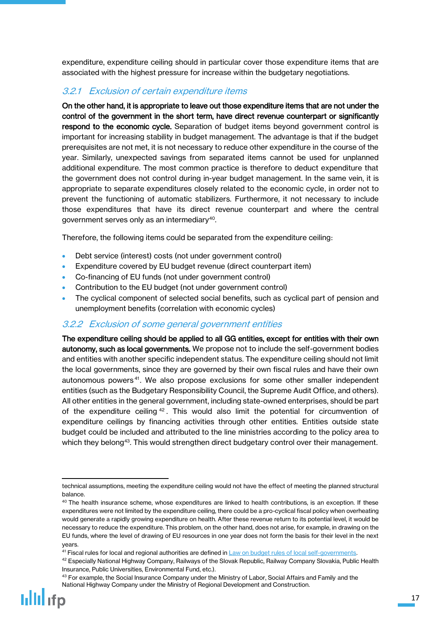expenditure, expenditure ceiling should in particular cover those expenditure items that are associated with the highest pressure for increase within the budgetary negotiations.

## <span id="page-16-0"></span>3.2.1 Exclusion of certain expenditure items

On the other hand, it is appropriate to leave out those expenditure items that are not under the control of the government in the short term, have direct revenue counterpart or significantly respond to the economic cycle. Separation of budget items beyond government control is important for increasing stability in budget management. The advantage is that if the budget prerequisites are not met, it is not necessary to reduce other expenditure in the course of the year. Similarly, unexpected savings from separated items cannot be used for unplanned additional expenditure. The most common practice is therefore to deduct expenditure that the government does not control during in-year budget management. In the same vein, it is appropriate to separate expenditures closely related to the economic cycle, in order not to prevent the functioning of automatic stabilizers. Furthermore, it not necessary to include those expenditures that have its direct revenue counterpart and where the central government serves only as an intermediary $\rm ^{40}$ .

Therefore, the following items could be separated from the expenditure ceiling:

- Debt service (interest) costs (not under government control)
- Expenditure covered by EU budget revenue (direct counterpart item)
- Co-financing of EU funds (not under government control)
- Contribution to the EU budget (not under government control)
- The cyclical component of selected social benefits, such as cyclical part of pension and unemployment benefits (correlation with economic cycles)

### <span id="page-16-1"></span>3.2.2 Exclusion of some general government entities

The expenditure ceiling should be applied to all GG entities, except for entities with their own autonomy, such as local governments. We propose not to include the self-government bodies and entities with another specific independent status. The expenditure ceiling should not limit the local governments, since they are governed by their own fiscal rules and have their own autonomous powers <sup>41</sup> . We also propose exclusions for some other smaller independent entities (such as the Budgetary Responsibility Council, the Supreme Audit Office, and others). All other entities in the general government, including state-owned enterprises, should be part of the expenditure ceiling  $42$ . This would also limit the potential for circumvention of expenditure ceilings by financing activities through other entities. Entities outside state budget could be included and attributed to the line ministries according to the policy area to which they belong<sup>43</sup>. This would strengthen direct budgetary control over their management.

<sup>&</sup>lt;sup>43</sup> For example, the Social Insurance Company under the Ministry of Labor, Social Affairs and Family and the National Highway Company under the Ministry of Regional Development and Construction.



technical assumptions, meeting the expenditure ceiling would not have the effect of meeting the planned structural balance.

 $40$  The health insurance scheme, whose expenditures are linked to health contributions, is an exception. If these expenditures were not limited by the expenditure ceiling, there could be a pro-cyclical fiscal policy when overheating would generate a rapidly growing expenditure on health. After these revenue return to its potential level, it would be necessary to reduce the expenditure. This problem, on the other hand, does not arise, for example, in drawing on the EU funds, where the level of drawing of EU resources in one year does not form the basis for their level in the next years.

<sup>41</sup> Fiscal rules for local and regional authorities are defined in [Law on budget rules of local self-governments.](http://www.finance.gov.sk/Default.aspx?CatID=3527)

<sup>&</sup>lt;sup>42</sup> Especially National Highway Company, Railways of the Slovak Republic, Railway Company Slovakia, Public Health Insurance, Public Universities, Environmental Fund, etc.).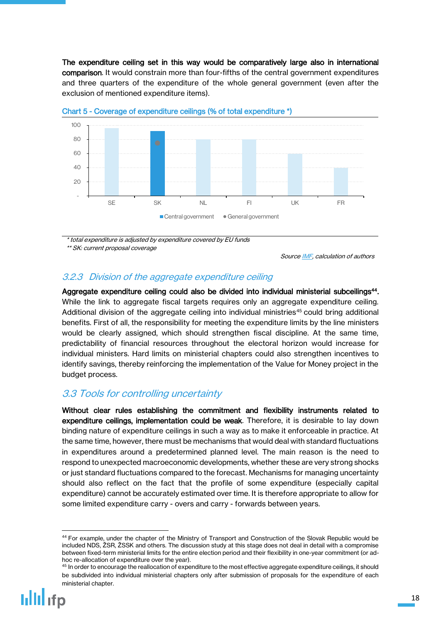The expenditure ceiling set in this way would be comparatively large also in international comparison. It would constrain more than four-fifths of the central government expenditures and three quarters of the expenditure of the whole general government (even after the exclusion of mentioned expenditure items).





\* total expenditure is adjusted by expenditure covered by EU funds

\*\* SK: current proposal coverage

Source [IMF,](https://www.imf.org/en/News/Articles/2015/09/28/04/53/sp060415a) calculation of authors

## <span id="page-17-0"></span>3.2.3 Division of the aggregate expenditure ceiling

Aggregate expenditure ceiling could also be divided into individual ministerial subceilings<sup>44</sup>. While the link to aggregate fiscal targets requires only an aggregate expenditure ceiling. Additional division of the aggregate ceiling into individual ministries<sup>45</sup> could bring additional benefits. First of all, the responsibility for meeting the expenditure limits by the line ministers would be clearly assigned, which should strengthen fiscal discipline. At the same time, predictability of financial resources throughout the electoral horizon would increase for individual ministers. Hard limits on ministerial chapters could also strengthen incentives to identify savings, thereby reinforcing the implementation of the Value for Money project in the budget process.

## <span id="page-17-1"></span>3.3 Tools for controlling uncertainty

Without clear rules establishing the commitment and flexibility instruments related to expenditure ceilings, implementation could be weak. Therefore, it is desirable to lay down binding nature of expenditure ceilings in such a way as to make it enforceable in practice. At the same time, however, there must be mechanisms that would deal with standard fluctuations in expenditures around a predetermined planned level. The main reason is the need to respond to unexpected macroeconomic developments, whether these are very strong shocks or just standard fluctuations compared to the forecast. Mechanisms for managing uncertainty should also reflect on the fact that the profile of some expenditure (especially capital expenditure) cannot be accurately estimated over time. It is therefore appropriate to allow for some limited expenditure carry - overs and carry - forwards between years.

<sup>44</sup> For example, under the chapter of the Ministry of Transport and Construction of the Slovak Republic would be included NDS, ŽSR, ŽSSK and others. The discussion study at this stage does not deal in detail with a compromise between fixed-term ministerial limits for the entire election period and their flexibility in one-year commitment (or adhoc re-allocation of expenditure over the year).

<sup>&</sup>lt;sup>45</sup> In order to encourage the reallocation of expenditure to the most effective aggregate expenditure ceilings, it should be subdivided into individual ministerial chapters only after submission of proposals for the expenditure of each ministerial chapter.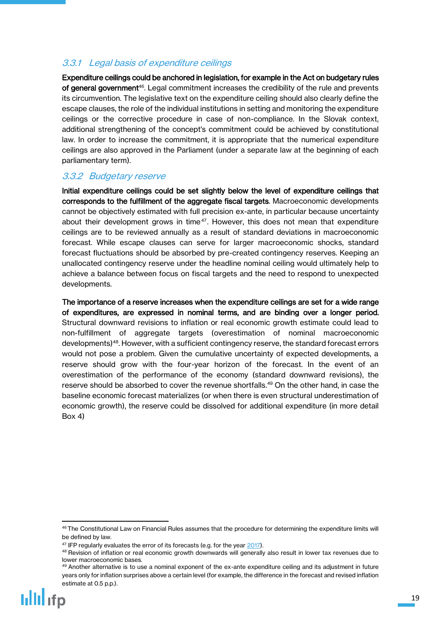## <span id="page-18-0"></span>3.3.1 Legal basis of expenditure ceilings

Expenditure ceilings could be anchored in legislation, for example in the Act on budgetary rules **of general government**<sup>46</sup>. Legal commitment increases the credibility of the rule and prevents its circumvention. The legislative text on the expenditure ceiling should also clearly define the escape clauses, the role of the individual institutions in setting and monitoring the expenditure ceilings or the corrective procedure in case of non-compliance. In the Slovak context, additional strengthening of the concept's commitment could be achieved by constitutional law. In order to increase the commitment, it is appropriate that the numerical expenditure ceilings are also approved in the Parliament (under a separate law at the beginning of each parliamentary term).

## <span id="page-18-1"></span>3.3.2 Budgetary reserve

Initial expenditure ceilings could be set slightly below the level of expenditure ceilings that corresponds to the fulfillment of the aggregate fiscal targets. Macroeconomic developments cannot be objectively estimated with full precision ex-ante, in particular because uncertainty about their development grows in time<sup>47</sup>. However, this does not mean that expenditure ceilings are to be reviewed annually as a result of standard deviations in macroeconomic forecast. While escape clauses can serve for larger macroeconomic shocks, standard forecast fluctuations should be absorbed by pre-created contingency reserves. Keeping an unallocated contingency reserve under the headline nominal ceiling would ultimately help to achieve a balance between focus on fiscal targets and the need to respond to unexpected developments.

The importance of a reserve increases when the expenditure ceilings are set for a wide range of expenditures, are expressed in nominal terms, and are binding over a longer period. Structural downward revisions to inflation or real economic growth estimate could lead to non-fulfillment of aggregate targets (overestimation of nominal macroeconomic developments)<sup>48</sup> . However, with a sufficient contingency reserve, the standard forecast errors would not pose a problem. Given the cumulative uncertainty of expected developments, a reserve should grow with the four-year horizon of the forecast. In the event of an overestimation of the performance of the economy (standard downward revisions), the reserve should be absorbed to cover the revenue shortfalls. <sup>49</sup> On the other hand, in case the baseline economic forecast materializes (or when there is even structural underestimation of economic growth), the reserve could be dissolved for additional expenditure (in more detail Box 4)

 $\ddot{\phantom{a}}$ 46 The Constitutional Law on Financial Rules assumes that the procedure for determining the expenditure limits will be defined by law.

<sup>&</sup>lt;sup>47</sup> IFP regularly evaluates the error of its forecasts (e.g. for the year [2017\)](http://www.finance.gov.sk/Default.aspx?CatID=11819).

<sup>48</sup> Revision of inflation or real economic growth downwards will generally also result in lower tax revenues due to lower macroeconomic bases.

<sup>49</sup> Another alternative is to use a nominal exponent of the ex-ante expenditure ceiling and its adjustment in future years only for inflation surprises above a certain level (for example, the difference in the forecast and revised inflation estimate at 0.5 p.p.).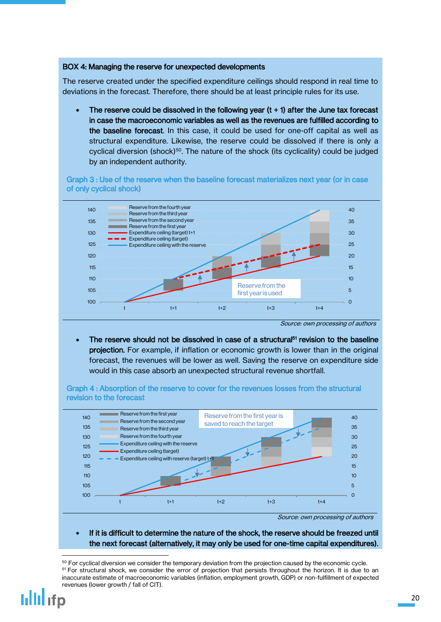### BOX 4: Managing the reserve for unexpected developments

The reserve created under the specified expenditure ceilings should respond in real time to deviations in the forecast. Therefore, there should be at least principle rules for its use.

The reserve could be dissolved in the following year  $(t + 1)$  after the June tax forecast in case the macroeconomic variables as well as the revenues are fulfilled according to the baseline forecast. In this case, it could be used for one-off capital as well as structural expenditure. Likewise, the reserve could be dissolved if there is only a cyclical diversion (shock)<sup>50</sup>. The nature of the shock (its cyclicality) could be judged by an independent authority.

Graph 3 : Use of the reserve when the baseline forecast materializes next year (or in case of only cyclical shock)



Source: own processing of authors

• The reserve should not be dissolved in case of a structural<sup>51</sup> revision to the baseline projection. For example, if inflation or economic growth is lower than in the original forecast, the revenues will be lower as well. Saving the reserve on expenditure side would in this case absorb an unexpected structural revenue shortfall.

Graph 4 : Absorption of the reserve to cover for the revenues losses from the structural revision to the forecast



Source: own processing of authors

### If it is difficult to determine the nature of the shock, the reserve should be freezed until the next forecast (alternatively, it may only be used for one-time capital expenditures).

 $\overline{a}$ 

<sup>&</sup>lt;sup>50</sup> For cyclical diversion we consider the temporary deviation from the projection caused by the economic cycle. 51 For structural shock, we consider the error of projection that persists throughout the horizon. It is due to an inaccurate estimate of macroeconomic variables (inflation, employment growth, GDP) or non-fulfillment of expected revenues (lower growth / fall of CIT).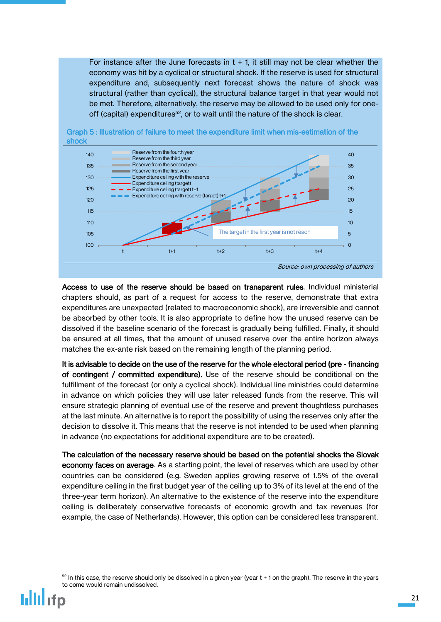For instance after the June forecasts in  $t + 1$ , it still may not be clear whether the economy was hit by a cyclical or structural shock. If the reserve is used for structural expenditure and, subsequently next forecast shows the nature of shock was structural (rather than cyclical), the structural balance target in that year would not be met. Therefore, alternatively, the reserve may be allowed to be used only for oneoff (capital) expenditures<sup>52</sup>, or to wait until the nature of the shock is clear.





Access to use of the reserve should be based on transparent rules. Individual ministerial chapters should, as part of a request for access to the reserve, demonstrate that extra expenditures are unexpected (related to macroeconomic shock), are irreversible and cannot be absorbed by other tools. It is also appropriate to define how the unused reserve can be dissolved if the baseline scenario of the forecast is gradually being fulfilled. Finally, it should be ensured at all times, that the amount of unused reserve over the entire horizon always matches the ex-ante risk based on the remaining length of the planning period.

It is advisable to decide on the use of the reserve for the whole electoral period (pre - financing of contingent / committed expenditure). Use of the reserve should be conditional on the fulfillment of the forecast (or only a cyclical shock). Individual line ministries could determine in advance on which policies they will use later released funds from the reserve. This will ensure strategic planning of eventual use of the reserve and prevent thoughtless purchases at the last minute. An alternative is to report the possibility of using the reserves only after the decision to dissolve it. This means that the reserve is not intended to be used when planning in advance (no expectations for additional expenditure are to be created).

The calculation of the necessary reserve should be based on the potential shocks the Slovak economy faces on average. As a starting point, the level of reserves which are used by other countries can be considered (e.g. Sweden applies growing reserve of 1.5% of the overall expenditure ceiling in the first budget year of the ceiling up to 3% of its level at the end of the three-year term horizon). An alternative to the existence of the reserve into the expenditure ceiling is deliberately conservative forecasts of economic growth and tax revenues (for example, the case of Netherlands). However, this option can be considered less transparent.

 $52$  In this case, the reserve should only be dissolved in a given year (year  $t + 1$  on the graph). The reserve in the years to come would remain undissolved.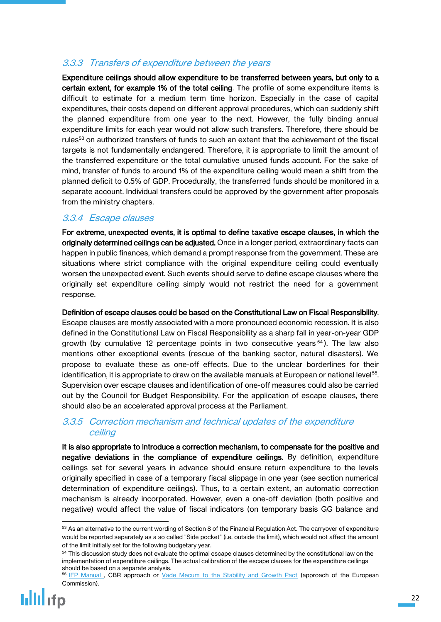## <span id="page-21-0"></span>3.3.3 Transfers of expenditure between the years

Expenditure ceilings should allow expenditure to be transferred between years, but only to a certain extent, for example 1% of the total ceiling. The profile of some expenditure items is difficult to estimate for a medium term time horizon. Especially in the case of capital expenditures, their costs depend on different approval procedures, which can suddenly shift the planned expenditure from one year to the next. However, the fully binding annual expenditure limits for each year would not allow such transfers. Therefore, there should be rules<sup>53</sup> on authorized transfers of funds to such an extent that the achievement of the fiscal targets is not fundamentally endangered. Therefore, it is appropriate to limit the amount of the transferred expenditure or the total cumulative unused funds account. For the sake of mind, transfer of funds to around 1% of the expenditure ceiling would mean a shift from the planned deficit to 0.5% of GDP. Procedurally, the transferred funds should be monitored in a separate account. Individual transfers could be approved by the government after proposals from the ministry chapters.

## <span id="page-21-1"></span>3.3.4 Escape clauses

For extreme, unexpected events, it is optimal to define taxative escape clauses, in which the originally determined ceilings can be adjusted. Once in a longer period, extraordinary facts can happen in public finances, which demand a prompt response from the government. These are situations where strict compliance with the original expenditure ceiling could eventually worsen the unexpected event. Such events should serve to define escape clauses where the originally set expenditure ceiling simply would not restrict the need for a government response.

Definition of escape clauses could be based on the Constitutional Law on Fiscal Responsibility. Escape clauses are mostly associated with a more pronounced economic recession. It is also defined in the Constitutional Law on Fiscal Responsibility as a sharp fall in year-on-year GDP growth (by cumulative 12 percentage points in two consecutive years  $54$ ). The law also mentions other exceptional events (rescue of the banking sector, natural disasters). We propose to evaluate these as one-off effects. Due to the unclear borderlines for their identification, it is appropriate to draw on the available manuals at European or national level $^{55}\!$ . Supervision over escape clauses and identification of one-off measures could also be carried out by the Council for Budget Responsibility. For the application of escape clauses, there should also be an accelerated approval process at the Parliament.

## <span id="page-21-2"></span>3.3.5 Correction mechanism and technical updates of the expenditure ceiling

It is also appropriate to introduce a correction mechanism, to compensate for the positive and negative deviations in the compliance of expenditure ceilings. By definition, expenditure ceilings set for several years in advance should ensure return expenditure to the levels originally specified in case of a temporary fiscal slippage in one year (see section numerical determination of expenditure ceilings). Thus, to a certain extent, an automatic correction mechanism is already incorporated. However, even a one-off deviation (both positive and negative) would affect the value of fiscal indicators (on temporary basis GG balance and

<sup>&</sup>lt;sup>53</sup> As an alternative to the current wording of Section 8 of the Financial Regulation Act. The carryover of expenditure would be reported separately as a so called "Side pocket" (i.e. outside the limit), which would not affect the amount of the limit initially set for the following budgetary year.

<sup>&</sup>lt;sup>54</sup> This discussion study does not evaluate the optimal escape clauses determined by the constitutional law on the implementation of expenditure ceilings. The actual calibration of the escape clauses for the expenditure ceilings should be based on a separate analysis.

<sup>55</sup> IFP Manual, CBR approach or [Vade Mecum to the Stability and Growth Pact](https://ec.europa.eu/info/sites/info/files/economy-finance/ip075_en.pdf) (approach of the European Commission).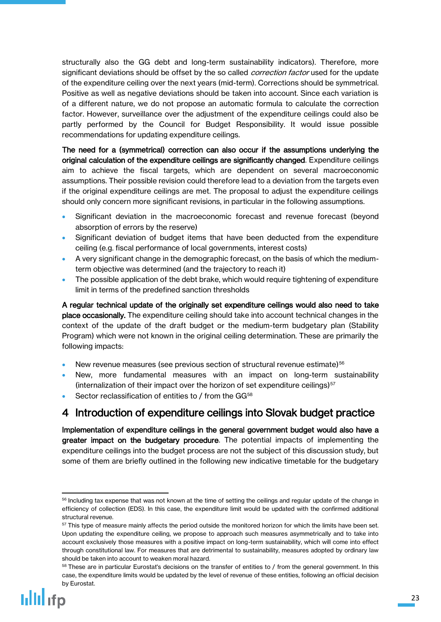structurally also the GG debt and long-term sustainability indicators). Therefore, more significant deviations should be offset by the so called *correction factor* used for the update of the expenditure ceiling over the next years (mid-term). Corrections should be symmetrical. Positive as well as negative deviations should be taken into account. Since each variation is of a different nature, we do not propose an automatic formula to calculate the correction factor. However, surveillance over the adjustment of the expenditure ceilings could also be partly performed by the Council for Budget Responsibility. It would issue possible recommendations for updating expenditure ceilings.

The need for a (symmetrical) correction can also occur if the assumptions underlying the original calculation of the expenditure ceilings are significantly changed. Expenditure ceilings aim to achieve the fiscal targets, which are dependent on several macroeconomic assumptions. Their possible revision could therefore lead to a deviation from the targets even if the original expenditure ceilings are met. The proposal to adjust the expenditure ceilings should only concern more significant revisions, in particular in the following assumptions.

- Significant deviation in the macroeconomic forecast and revenue forecast (beyond absorption of errors by the reserve)
- Significant deviation of budget items that have been deducted from the expenditure ceiling (e.g. fiscal performance of local governments, interest costs)
- A very significant change in the demographic forecast, on the basis of which the mediumterm objective was determined (and the trajectory to reach it)
- The possible application of the debt brake, which would require tightening of expenditure limit in terms of the predefined sanction thresholds

A regular technical update of the originally set expenditure ceilings would also need to take place occasionally. The expenditure ceiling should take into account technical changes in the context of the update of the draft budget or the medium-term budgetary plan (Stability Program) which were not known in the original ceiling determination. These are primarily the following impacts:

- New revenue measures (see previous section of structural revenue estimate)<sup>56</sup>
- New, more fundamental measures with an impact on long-term sustainability (internalization of their impact over the horizon of set expenditure ceilings) $57$
- Sector reclassification of entities to / from the GG<sup>58</sup>

## <span id="page-22-0"></span>4 Introduction of expenditure ceilings into Slovak budget practice

Implementation of expenditure ceilings in the general government budget would also have a greater impact on the budgetary procedure. The potential impacts of implementing the expenditure ceilings into the budget process are not the subject of this discussion study, but some of them are briefly outlined in the following new indicative timetable for the budgetary

1

<sup>&</sup>lt;sup>56</sup> Including tax expense that was not known at the time of setting the ceilings and regular update of the change in efficiency of collection (EDS). In this case, the expenditure limit would be updated with the confirmed additional structural revenue.

 $57$  This type of measure mainly affects the period outside the monitored horizon for which the limits have been set. Upon updating the expenditure ceiling, we propose to approach such measures asymmetrically and to take into account exclusively those measures with a positive impact on long-term sustainability, which will come into effect through constitutional law. For measures that are detrimental to sustainability, measures adopted by ordinary law should be taken into account to weaken moral hazard.

<sup>&</sup>lt;sup>58</sup> These are in particular Eurostat's decisions on the transfer of entities to / from the general government. In this case, the expenditure limits would be updated by the level of revenue of these entities, following an official decision by Eurostat.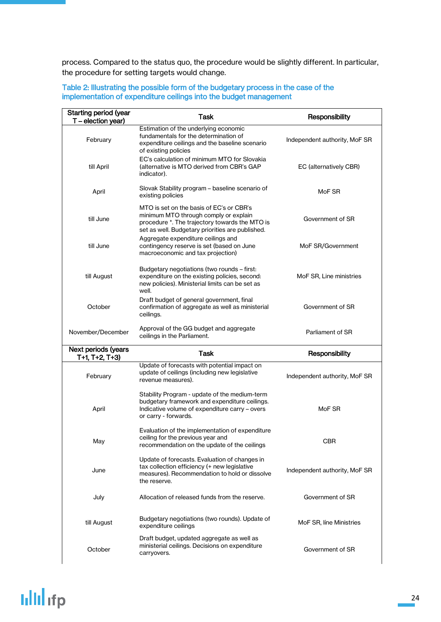process. Compared to the status quo, the procedure would be slightly different. In particular, the procedure for setting targets would change.

| Table 2: Illustrating the possible form of the budgetary process in the case of the<br>implementation of expenditure ceilings into the budget management |                                                                                                                                  |                               |  |  |
|----------------------------------------------------------------------------------------------------------------------------------------------------------|----------------------------------------------------------------------------------------------------------------------------------|-------------------------------|--|--|
| <b>Starting period (year</b><br>$T$ – election year)                                                                                                     | Task                                                                                                                             | Responsibility                |  |  |
| February                                                                                                                                                 | Estimation of the underlying economic<br>fundamentals for the determination of<br>expenditure ceilings and the baseline scenario | Independent authority, MoF SR |  |  |

EC (alternatively CBR)

expenditure ceilings and the baseline scenario

EC's calculation of minimum MTO for Slovakia (alternative is MTO derived from CBR's GAP

of existing policies

indicator).

till April

| Slovak Stability program – baseline scenario of<br>April<br>existing policies |                                                                                                                                                                                         | MoF SR                        |
|-------------------------------------------------------------------------------|-----------------------------------------------------------------------------------------------------------------------------------------------------------------------------------------|-------------------------------|
| till June                                                                     | MTO is set on the basis of EC's or CBR's<br>minimum MTO through comply or explain<br>procedure *. The trajectory towards the MTO is<br>set as well. Budgetary priorities are published. | Government of SR              |
| till June                                                                     | Aggregate expenditure ceilings and<br>contingency reserve is set (based on June<br>macroeconomic and tax projection)                                                                    | MoF SR/Government             |
| till August                                                                   | Budgetary negotiations (two rounds - first:<br>expenditure on the existing policies, second:<br>new policies). Ministerial limits can be set as<br>well.                                | MoF SR, Line ministries       |
| October                                                                       | Draft budget of general government, final<br>confirmation of aggregate as well as ministerial<br>ceilings.                                                                              | Government of SR              |
| November/December                                                             | Approval of the GG budget and aggregate<br>ceilings in the Parliament.                                                                                                                  | Parliament of SR              |
| Next periods (years<br>$T+1$ , $T+2$ , $T+3$ )                                | Task                                                                                                                                                                                    | Responsibility                |
| February                                                                      | Update of forecasts with potential impact on<br>update of ceilings (including new legislative<br>revenue measures).                                                                     | Independent authority, MoF SR |
|                                                                               |                                                                                                                                                                                         |                               |
| April                                                                         | Stability Program - update of the medium-term<br>budgetary framework and expenditure ceilings.<br>Indicative volume of expenditure carry – overs<br>or carry - forwards.                | MoF SR                        |
| May                                                                           | Evaluation of the implementation of expenditure<br>ceiling for the previous year and<br>recommendation on the update of the ceilings                                                    | <b>CBR</b>                    |
| June                                                                          | Update of forecasts. Evaluation of changes in<br>tax collection efficiency (+ new legislative<br>measures). Recommendation to hold or dissolve<br>the reserve.                          | Independent authority, MoF SR |
| July                                                                          | Allocation of released funds from the reserve.                                                                                                                                          | Government of SR              |
| till August                                                                   | Budgetary negotiations (two rounds). Update of<br>expenditure ceilings                                                                                                                  | MoF SR, line Ministries       |
| October                                                                       | Draft budget, updated aggregate as well as<br>ministerial ceilings. Decisions on expenditure<br>carryovers.                                                                             | Government of SR              |

## **Iilli**lifp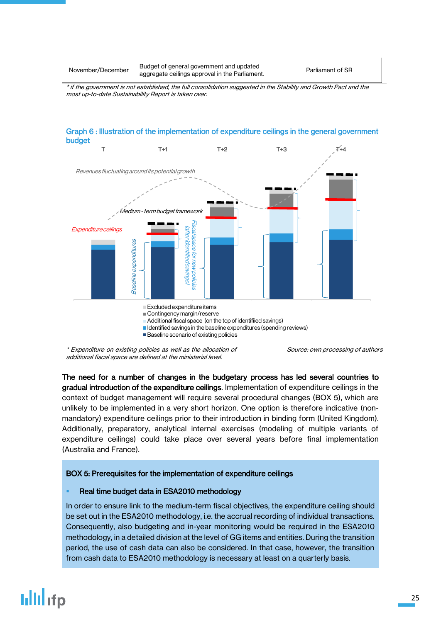November/December Budget of general government and updated aggregate ceilings approval in the Parliament.

Parliament of SR

\* if the government is not established, the full consolidation suggested in the Stability and Growth Pact and the most up-to-date Sustainability Report is taken over.



\* Expenditure on existing policies as well as the allocation of additional fiscal space are defined at the ministerial level.

Source: own processing of authors

The need for a number of changes in the budgetary process has led several countries to gradual introduction of the expenditure ceilings. Implementation of expenditure ceilings in the context of budget management will require several procedural changes (BOX 5), which are unlikely to be implemented in a very short horizon. One option is therefore indicative (nonmandatory) expenditure ceilings prior to their introduction in binding form (United Kingdom). Additionally, preparatory, analytical internal exercises (modeling of multiple variants of expenditure ceilings) could take place over several years before final implementation (Australia and France).

## BOX 5: Prerequisites for the implementation of expenditure ceilings

## Real time budget data in ESA2010 methodology

In order to ensure link to the medium-term fiscal objectives, the expenditure ceiling should be set out in the ESA2010 methodology, i.e. the accrual recording of individual transactions. Consequently, also budgeting and in-year monitoring would be required in the ESA2010 methodology, in a detailed division at the level of GG items and entities. During the transition period, the use of cash data can also be considered. In that case, however, the transition from cash data to ESA2010 methodology is necessary at least on a quarterly basis.

# lilli ifp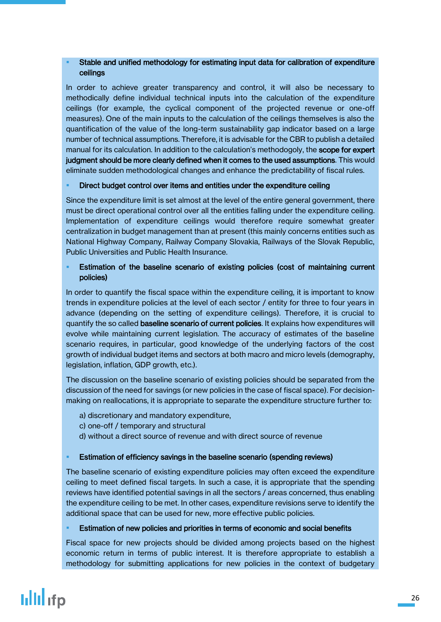## Stable and unified methodology for estimating input data for calibration of expenditure ceilings

In order to achieve greater transparency and control, it will also be necessary to methodically define individual technical inputs into the calculation of the expenditure ceilings (for example, the cyclical component of the projected revenue or one-off measures). One of the main inputs to the calculation of the ceilings themselves is also the quantification of the value of the long-term sustainability gap indicator based on a large number of technical assumptions. Therefore, it is advisable for the CBR to publish a detailed manual for its calculation. In addition to the calculation's methodogoly, the scope for expert judgment should be more clearly defined when it comes to the used assumptions. This would eliminate sudden methodological changes and enhance the predictability of fiscal rules.

### **Direct budget control over items and entities under the expenditure ceiling**

Since the expenditure limit is set almost at the level of the entire general government, there must be direct operational control over all the entities falling under the expenditure ceiling. Implementation of expenditure ceilings would therefore require somewhat greater centralization in budget management than at present (this mainly concerns entities such as National Highway Company, Railway Company Slovakia, Railways of the Slovak Republic, Public Universities and Public Health Insurance.

### Estimation of the baseline scenario of existing policies (cost of maintaining current policies)

In order to quantify the fiscal space within the expenditure ceiling, it is important to know trends in expenditure policies at the level of each sector / entity for three to four years in advance (depending on the setting of expenditure ceilings). Therefore, it is crucial to quantify the so called **baseline scenario of current policies**. It explains how expenditures will evolve while maintaining current legislation. The accuracy of estimates of the baseline scenario requires, in particular, good knowledge of the underlying factors of the cost growth of individual budget items and sectors at both macro and micro levels (demography, legislation, inflation, GDP growth, etc.).

The discussion on the baseline scenario of existing policies should be separated from the discussion of the need for savings (or new policies in the case of fiscal space). For decisionmaking on reallocations, it is appropriate to separate the expenditure structure further to:

- a) discretionary and mandatory expenditure,
- c) one-off / temporary and structural
- d) without a direct source of revenue and with direct source of revenue

#### **Estimation of efficiency savings in the baseline scenario (spending reviews)**

The baseline scenario of existing expenditure policies may often exceed the expenditure ceiling to meet defined fiscal targets. In such a case, it is appropriate that the spending reviews have identified potential savings in all the sectors / areas concerned, thus enabling the expenditure ceiling to be met. In other cases, expenditure revisions serve to identify the additional space that can be used for new, more effective public policies.

#### **Estimation of new policies and priorities in terms of economic and social benefits**

Fiscal space for new projects should be divided among projects based on the highest economic return in terms of public interest. It is therefore appropriate to establish a methodology for submitting applications for new policies in the context of budgetary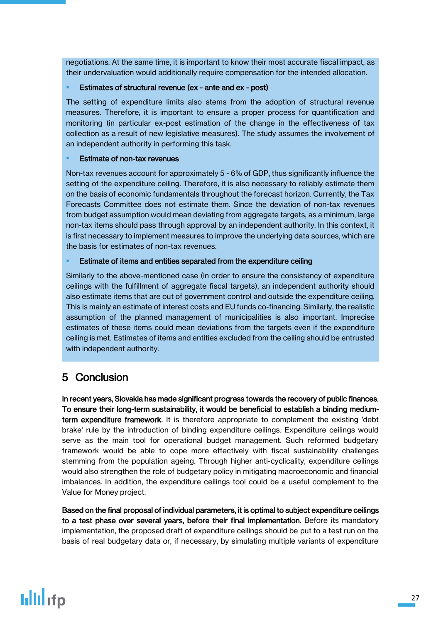negotiations. At the same time, it is important to know their most accurate fiscal impact, as their undervaluation would additionally require compensation for the intended allocation.

### Estimates of structural revenue (ex - ante and ex - post)

The setting of expenditure limits also stems from the adoption of structural revenue measures. Therefore, it is important to ensure a proper process for quantification and monitoring (in particular ex-post estimation of the change in the effectiveness of tax collection as a result of new legislative measures). The study assumes the involvement of an independent authority in performing this task.

### Estimate of non-tax revenues

Non-tax revenues account for approximately 5 - 6% of GDP, thus significantly influence the setting of the expenditure ceiling. Therefore, it is also necessary to reliably estimate them on the basis of economic fundamentals throughout the forecast horizon. Currently, the Tax Forecasts Committee does not estimate them. Since the deviation of non-tax revenues from budget assumption would mean deviating from aggregate targets, as a minimum, large non-tax items should pass through approval by an independent authority. In this context, it is first necessary to implement measures to improve the underlying data sources, which are the basis for estimates of non-tax revenues.

### Estimate of items and entities separated from the expenditure ceiling

Similarly to the above-mentioned case (in order to ensure the consistency of expenditure ceilings with the fulfillment of aggregate fiscal targets), an independent authority should also estimate items that are out of government control and outside the expenditure ceiling. This is mainly an estimate of interest costs and EU funds co-financing. Similarly, the realistic assumption of the planned management of municipalities is also important. Imprecise estimates of these items could mean deviations from the targets even if the expenditure ceiling is met. Estimates of items and entities excluded from the ceiling should be entrusted with independent authority.

## <span id="page-26-0"></span>5 Conclusion

In recent years, Slovakia has made significant progress towards the recovery of public finances. To ensure their long-term sustainability, it would be beneficial to establish a binding mediumterm expenditure framework. It is therefore appropriate to complement the existing 'debt brake' rule by the introduction of binding expenditure ceilings. Expenditure ceilings would serve as the main tool for operational budget management. Such reformed budgetary framework would be able to cope more effectively with fiscal sustainability challenges stemming from the population ageing. Through higher anti-cyclicality, expenditure ceilings would also strengthen the role of budgetary policy in mitigating macroeconomic and financial imbalances. In addition, the expenditure ceilings tool could be a useful complement to the Value for Money project.

Based on the final proposal of individual parameters, it is optimal to subject expenditure ceilings to a test phase over several years, before their final implementation. Before its mandatory implementation, the proposed draft of expenditure ceilings should be put to a test run on the basis of real budgetary data or, if necessary, by simulating multiple variants of expenditure

## **Iillil** ifp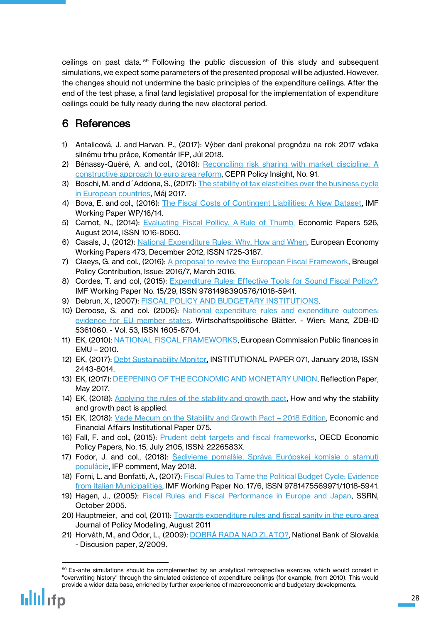ceilings on past data. <sup>59</sup> Following the public discussion of this study and subsequent simulations, we expect some parameters of the presented proposal will be adjusted. However, the changes should not undermine the basic principles of the expenditure ceilings. After the end of the test phase, a final (and legislative) proposal for the implementation of expenditure ceilings could be fully ready during the new electoral period.

## <span id="page-27-0"></span>6 References

- 1) Antalicová, J. and Harvan. P., (2017): Výber daní prekonal prognózu na rok 2017 vďaka silnému trhu práce, Komentár IFP, Júl 2018.
- 2) Bénassy-Quéré, A. and col., (2018): Reconciling risk sharing with market discipline: A [constructive approach to euro area reform,](https://cepr.org/active/publications/policy_insights/viewpi.php?pino=91) CEPR Policy Insight, No. 91.
- 3) Boschi, M. and d´Addona, S., (2017): [The stability of tax elasticities over the business cycle](http://host.uniroma3.it/docenti/daddona/taxes.pdf)  [in European countries](http://host.uniroma3.it/docenti/daddona/taxes.pdf), Máj 2017.
- 4) Bova, E. and col., (2016): [The Fiscal Costs of Contingent Liabilities: A New Dataset,](https://www.imf.org/external/pubs/ft/wp/2016/wp1614.pdf) IMF Working Paper WP/16/14.
- 5) Carnot, N., (2014): [Evaluating Fiscal](http://ec.europa.eu/economy_finance/publications/economic_paper/2014/pdf/ecp526_en.pdf) Pollicy, A Rule of Thumb, Economic Papers 526, August 2014, ISSN 1016-8060.
- 6) Casals, J., (2012): [National Expenditure Rules: Why, How and When,](http://ec.europa.eu/economy_finance/publications/economic_paper/2012/pdf/ecp473_en.pdf) European Economy Working Papers 473, December 2012, ISSN 1725-3187.
- 7) Claeys, G. and col., (2016): [A proposal to revive the European Fiscal Framework,](http://bruegel.org/2016/03/a-proposal-to-revive-the-european-fiscal-framework/) Breugel Policy Contribution, Issue: 2016/7, March 2016.
- 8) Cordes, T. and col, (2015): Expenditure Rules: Effective Tools for Sound Fiscal Policy? IMF Working Paper No. 15/29, ISSN 9781498390576/1018-5941.
- 9) Debrun, X., (2007): [FISCAL POLICY AND BUDGETARY INSTITUTIONS.](http://citeseerx.ist.psu.edu/viewdoc/download?doi=10.1.1.617.8887&rep=rep1&type=pdf)
- 10) Deroose, S. and col. (2006): National expenditure [rules and expenditure outcomes:](https://www.econbiz.de/Record/national-expenditure-rules-and-expenditure-outcomes-evidence-for-eu-member-states-deroose-servaas/10003298269)  [evidence for EU member states.](https://www.econbiz.de/Record/national-expenditure-rules-and-expenditure-outcomes-evidence-for-eu-member-states-deroose-servaas/10003298269) Wirtschaftspolitische Blätter. - Wien: Manz, ZDB-ID 5361060. - Vol. 53, ISSN 1605-8704.
- 11) EK, (2010): [NATIONAL FISCAL FRAMEWORKS,](http://ec.europa.eu/economy_finance/db_indicators/fiscal_governance/documents/analysis_national_fiscal_frameworks_pfr_2010.pdf) European Commission Public finances in EMU – 2010.
- 12) EK, (2017): *Debt Sustainability Monitor*, INSTITUTIONAL PAPER 071, January 2018, ISSN 2443-8014.
- 13) EK, (2017)[: DEEPENING OF THE ECONOMIC AND MONETARY UNION,](https://ec.europa.eu/commission/sites/beta-political/files/reflection-paper-emu_en.pdf) Reflection Paper, May 2017.
- 14) EK, (2018): [Applying the rules of the stability and growth pact,](https://ec.europa.eu/info/business-economy-euro/economic-and-fiscal-policy-coordination/eu-economic-governance-monitoring-prevention-correction/stability-and-growth-pact/applying-rules-stability-and-growth-pact_en) How and why the stability and growth pact is applied.
- 15) EK, (2018): [Vade Mecum on the Stability and Growth Pact](https://ec.europa.eu/info/publications/economy-finance/vade-mecum-stability-and-growth-pact-2018-edition_en)  2018 Edition, Economic and Financial Affairs Institutional Paper 075.
- 16) Fall, F. and col., (2015): **Prudent debt targets and fiscal frameworks**, OECD Economic Policy Papers, No. 15, July 2105, ISSN: 2226583X.
- 17) Fodor, J. and col., (2018): <u>Šedivieme pomalšie, Správa Európskej komisie o starnutí</u> [populácie](http://www.finance.gov.sk/Default.aspx?CatID=11771), IFP comment, May 2018.
- 18) Forni, L. and Bonfatti, A., (2017)[: Fiscal Rules to Tame the Political Budget Cycle: Evidence](https://www.imf.org/en/Publications/WP/Issues/2017/01/20/Fiscal-Rules-to-Tame-the-Political-Budget-Cycle-Evidence-from-Italian-Municipalities-44553)  [from Italian Municipalities,](https://www.imf.org/en/Publications/WP/Issues/2017/01/20/Fiscal-Rules-to-Tame-the-Political-Budget-Cycle-Evidence-from-Italian-Municipalities-44553) IMF Working Paper No. 17/6, ISSN 9781475569971/1018-5941.
- 19) Hagen, J., (2005): [Fiscal Rules and Fiscal Performance in Europe and Japan,](https://papers.ssrn.com/sol3/papers.cfm?abstract_id=844288) SSRN, October 2005.
- 20) Hauptmeier, and col, (2011): [Towards expenditure rules and fiscal sanity in the euro area](https://www.sciencedirect.com/science/article/pii/S0161893811000305) Journal of Policy Modeling, August 2011
- 21) Horváth, M., and Ódor, L., (2009): DO[BRÁ RADA NAD ZLATO?](https://www.nbs.sk/_img/Documents/PUBLIK/DP_2-2009.pdf), National Bank of Slovakia - Discusion paper, 2/2009.

 $\overline{a}$ 

<sup>&</sup>lt;sup>59</sup> Ex-ante simulations should be complemented by an analytical retrospective exercise, which would consist in "overwriting history" through the simulated existence of expenditure ceilings (for example, from 2010). This would provide a wider data base, enriched by further experience of macroeconomic and budgetary developments.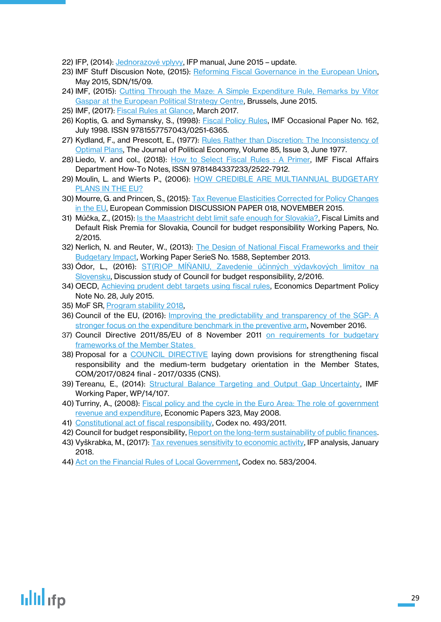- 22) IFP, (2014): [Jednorazové vplyvy](http://www.finance.gov.sk/Default.aspx?CatID=9595), IFP manual, June 2015 update.
- 23) IMF Stuff Discusion Note, (2015): [Reforming Fiscal Governance in the European Union,](https://www.imf.org/external/pubs/ft/sdn/2015/sdn1509.pdf) May 2015, SDN/15/09.
- 24) IMF, (2015): Cutting Through the [Maze: A Simple Expenditure Rule, Remarks by Vitor](https://www.imf.org/en/News/Articles/2015/09/28/04/53/sp060415a)  [Gaspar at the European Political Strategy Centre,](https://www.imf.org/en/News/Articles/2015/09/28/04/53/sp060415a) Brussels, June 2015.
- 25) IMF, (2017): [Fiscal Rules at Glance,](https://www.imf.org/external/datamapper/fiscalrules/Fiscal%20Rules%20at%20a%20Glance%20-%20Background%20Paper.pdf) March 2017.
- 26) Koptis, G. and Symansky, S., (1998): **Fiscal Policy Rules, IMF Occasional Paper No. 162**, July 1998. ISSN 9781557757043/0251-6365.
- 27) Kydland, F., and Prescott, E., (1977): Rules Rather than Discretion: The Inconsistency of [Optimal Plans,](https://www.minneapolisfed.org/~/media/files/research/prescott/papers/rulesdiscretion.pdf?la=en) The Journal of Political Economy, Volume 85, Issue 3, June 1977.
- 28) Liedo, V. and col., (2018): [How to Select Fiscal](https://www.imf.org/en/Publications/Fiscal-Affairs-Department-How-To-Notes/Issues/2018/03/15/How-to-Select-Fiscal-Rules-A-Primer-45552) Rules : A Primer, IMF Fiscal Affairs Department How-To Notes, ISSN 9781484337233/2522-7912.
- 29) Moulin, L. and Wierts P., (2006): HOW CREDIBLE ARE MULTIANNUAL BUDGETARY [PLANS IN THE EU?](https://www.dnb.nl/en/binaries/MoulinWiertsFiscalPlans_tcm47-170907.pdf)
- 30) Mourre, G. and Princen, S., (2015): [Tax Revenue Elasticities Corrected for Policy Changes](https://ec.europa.eu/info/sites/info/files/dp018_en.pdf)  [in the EU,](https://ec.europa.eu/info/sites/info/files/dp018_en.pdf) European Commission DISCUSSION PAPER 018, NOVEMBER 2015.
- 31) Múčka, Z., (2015): [Is the Maastricht debt limit safe enough for Slovakia?,](http://www.rozpoctovarada.sk/svk/rozpocet/281/is-the-maastricht-debt-limit-safe-enough-for-slovakia) Fiscal Limits and Default Risk Premia for Slovakia, Council for budget responsibility Working Papers, No. 2/2015.
- 32) Nerlich, N. and Reuter, W., (2013): [The Design of National Fiscal Frameworks and their](https://www.ecb.europa.eu/pub/pdf/scpwps/ecbwp1588.pdf?a7b3bc425c8f13a6cbfb802304d0da96)  **[Budgetary Impact,](https://www.ecb.europa.eu/pub/pdf/scpwps/ecbwp1588.pdf?a7b3bc425c8f13a6cbfb802304d0da96) Working Paper SerieS No. 1588, September 2013.**
- **33) Odor, L., (2016): ST(R)OP MINANIU, Zavedenie účinných výdavkových limitov na** [Slovensku,](http://www.rozpoctovarada.sk/download2/EXP_CEILINGS_FV_final_04.pdf) Discussion study of Council for budget responsibility, 2/2016.
- 34) OECD, [Achieving prudent debt targets using fiscal rules,](https://www.oecd.org/eco/Achieving-prudent-debt-targets-using-fiscal-rules-OECD-policy-note-28.pdf) Economics Department Policy Note No. 28, July 2015.
- 35) MoF SR, [Program stability 2018,](http://finance.gov.sk/Default.aspx?CatID=120)
- 36) Council of the EU, (2016): [Improving the predictability and transparency of the SGP: A](http://data.consilium.europa.eu/doc/document/ST-14814-2016-INIT/en/pdf)  [stronger focus on the expenditure benchmark in the preventive arm,](http://data.consilium.europa.eu/doc/document/ST-14814-2016-INIT/en/pdf) November 2016.
- 37) Council Directive 2011/85/EU of 8 November 2011 on requirements for budgetary [frameworks of the Member States](https://eur-lex.europa.eu/legal-content/EN/TXT/?uri=CELEX%3A32011L0085)
- 38) Proposal for a [COUNCIL DIRECTIVE](https://eur-lex.europa.eu/legal-content/EN/TXT/?uri=CELEX%3A52017PC0824) laying down provisions for strengthening fiscal responsibility and the medium-term budgetary orientation in the Member States, COM/2017/0824 final - 2017/0335 (CNS).
- 39) Tereanu, E., (2014): [Structural Balance Targeting and Output Gap Uncertainty,](https://www.imf.org/external/pubs/ft/wp/2014/wp14107.pdf) IMF Working Paper, WP/14/107.
- 40) Turriny, A., (2008): [Fiscal policy and the cycle in the Euro Area: The role of government](http://ec.europa.eu/economy_finance/publications/pages/publication12600_en.pdf)  [revenue and expenditure,](http://ec.europa.eu/economy_finance/publications/pages/publication12600_en.pdf) Economic Papers 323, May 2008.
- 41) [Constitutional](http://www.rozpoctovarada.sk/images/Legislativa_SR/Zakon_493_2011_20121028.pdf) act of fiscal responsibility, Codex no. 493/2011.
- 42) Council for budget responsibility, Report on the long-term sustainability of public finances.
- 43) Vyškrabka, M., (2017): [Tax revenues sensitivity to economic activity,](http://www.finance.gov.sk/Default.aspx?CatID=11570) IFP analysis, January 2018.
- 44) Act on the Financial Rules of Local Government, Codex no. 583/2004.

## **ullil**ifp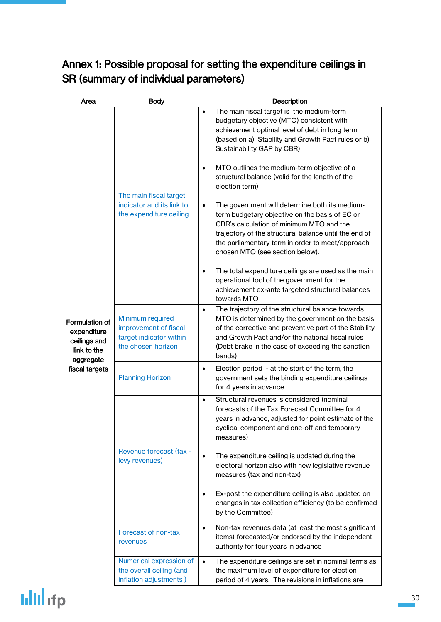## Annex 1: Possible proposal for setting the expenditure ceilings in SR (summary of individual parameters)

| Area                                                                             | <b>Body</b>                                                                                | <b>Description</b>                                                                                                                                                                                                                                                                                        |  |  |
|----------------------------------------------------------------------------------|--------------------------------------------------------------------------------------------|-----------------------------------------------------------------------------------------------------------------------------------------------------------------------------------------------------------------------------------------------------------------------------------------------------------|--|--|
|                                                                                  | The main fiscal target<br>indicator and its link to<br>the expenditure ceiling             | The main fiscal target is the medium-term<br>budgetary objective (MTO) consistent with<br>achievement optimal level of debt in long term<br>(based on a) Stability and Growth Pact rules or b)<br>Sustainability GAP by CBR)                                                                              |  |  |
|                                                                                  |                                                                                            | MTO outlines the medium-term objective of a<br>$\bullet$<br>structural balance (valid for the length of the<br>election term)                                                                                                                                                                             |  |  |
|                                                                                  |                                                                                            | The government will determine both its medium-<br>$\bullet$<br>term budgetary objective on the basis of EC or<br>CBR's calculation of minimum MTO and the<br>trajectory of the structural balance until the end of<br>the parliamentary term in order to meet/approach<br>chosen MTO (see section below). |  |  |
|                                                                                  |                                                                                            | The total expenditure ceilings are used as the main<br>$\bullet$<br>operational tool of the government for the<br>achievement ex-ante targeted structural balances<br>towards MTO                                                                                                                         |  |  |
| <b>Formulation of</b><br>expenditure<br>ceilings and<br>link to the<br>aggregate | Minimum required<br>improvement of fiscal<br>target indicator within<br>the chosen horizon | The trajectory of the structural balance towards<br>$\bullet$<br>MTO is determined by the government on the basis<br>of the corrective and preventive part of the Stability<br>and Growth Pact and/or the national fiscal rules<br>(Debt brake in the case of exceeding the sanction<br>bands)            |  |  |
| fiscal targets                                                                   | <b>Planning Horizon</b>                                                                    | Election period - at the start of the term, the<br>$\bullet$<br>government sets the binding expenditure ceilings<br>for 4 years in advance                                                                                                                                                                |  |  |
|                                                                                  |                                                                                            | Structural revenues is considered (nominal<br>$\bullet$<br>forecasts of the Tax Forecast Committee for 4<br>years in advance, adjusted for point estimate of the<br>cyclical component and one-off and temporary<br>measures)                                                                             |  |  |
|                                                                                  | Revenue forecast (tax -<br>levy revenues)                                                  | The expenditure ceiling is updated during the<br>$\bullet$<br>electoral horizon also with new legislative revenue<br>measures (tax and non-tax)                                                                                                                                                           |  |  |
|                                                                                  |                                                                                            | Ex-post the expenditure ceiling is also updated on<br>changes in tax collection efficiency (to be confirmed<br>by the Committee)                                                                                                                                                                          |  |  |
|                                                                                  | Forecast of non-tax<br>revenues                                                            | Non-tax revenues data (at least the most significant<br>$\bullet$<br>items) forecasted/or endorsed by the independent<br>authority for four years in advance                                                                                                                                              |  |  |
|                                                                                  | Numerical expression of<br>the overall ceiling (and<br>inflation adjustments)              | The expenditure ceilings are set in nominal terms as<br>$\bullet$<br>the maximum level of expenditure for election<br>period of 4 years. The revisions in inflations are                                                                                                                                  |  |  |

## **Iilli**lifp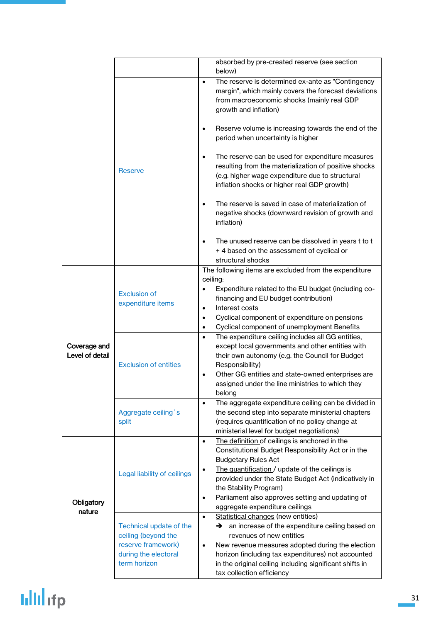|                                 |                                                                                                              | absorbed by pre-created reserve (see section<br>below)                                                                                                                                                                                                                                                                                                                                     |
|---------------------------------|--------------------------------------------------------------------------------------------------------------|--------------------------------------------------------------------------------------------------------------------------------------------------------------------------------------------------------------------------------------------------------------------------------------------------------------------------------------------------------------------------------------------|
|                                 | Reserve                                                                                                      | The reserve is determined ex-ante as "Contingency<br>$\bullet$<br>margin", which mainly covers the forecast deviations<br>from macroeconomic shocks (mainly real GDP<br>growth and inflation)<br>Reserve volume is increasing towards the end of the                                                                                                                                       |
|                                 |                                                                                                              | period when uncertainty is higher<br>The reserve can be used for expenditure measures<br>$\bullet$<br>resulting from the materialization of positive shocks                                                                                                                                                                                                                                |
|                                 |                                                                                                              | (e.g. higher wage expenditure due to structural<br>inflation shocks or higher real GDP growth)                                                                                                                                                                                                                                                                                             |
|                                 |                                                                                                              | The reserve is saved in case of materialization of<br>negative shocks (downward revision of growth and<br>inflation)                                                                                                                                                                                                                                                                       |
|                                 |                                                                                                              | The unused reserve can be dissolved in years t to t<br>+4 based on the assessment of cyclical or<br>structural shocks                                                                                                                                                                                                                                                                      |
|                                 |                                                                                                              | The following items are excluded from the expenditure                                                                                                                                                                                                                                                                                                                                      |
|                                 | <b>Exclusion of</b><br>expenditure items                                                                     | ceiling:<br>Expenditure related to the EU budget (including co-<br>financing and EU budget contribution)<br>Interest costs<br>$\bullet$<br>Cyclical component of expenditure on pensions<br>$\bullet$                                                                                                                                                                                      |
|                                 |                                                                                                              | Cyclical component of unemployment Benefits<br>$\bullet$                                                                                                                                                                                                                                                                                                                                   |
| Coverage and<br>Level of detail | <b>Exclusion of entities</b>                                                                                 | The expenditure ceiling includes all GG entities,<br>$\bullet$<br>except local governments and other entities with<br>their own autonomy (e.g. the Council for Budget<br>Responsibility)<br>Other GG entities and state-owned enterprises are<br>$\bullet$<br>assigned under the line ministries to which they<br>belong                                                                   |
|                                 | Aggregate ceiling's<br>split                                                                                 | The aggregate expenditure ceiling can be divided in<br>$\bullet$<br>the second step into separate ministerial chapters<br>(requires quantification of no policy change at<br>ministerial level for budget negotiations)                                                                                                                                                                    |
| Obligatory<br>nature            | Legal liability of ceilings                                                                                  | The definition of ceilings is anchored in the<br>$\bullet$<br>Constitutional Budget Responsibility Act or in the<br><b>Budgetary Rules Act</b><br>The quantification / update of the ceilings is<br>٠<br>provided under the State Budget Act (indicatively in<br>the Stability Program)<br>Parliament also approves setting and updating of<br>$\bullet$<br>aggregate expenditure ceilings |
|                                 | Technical update of the<br>ceiling (beyond the<br>reserve framework)<br>during the electoral<br>term horizon | Statistical changes (new entities)<br>$\bullet$<br>an increase of the expenditure ceiling based on<br>→<br>revenues of new entities<br>New revenue measures adopted during the election<br>$\bullet$<br>horizon (including tax expenditures) not accounted<br>in the original ceiling including significant shifts in<br>tax collection efficiency                                         |

# **ulul** ifp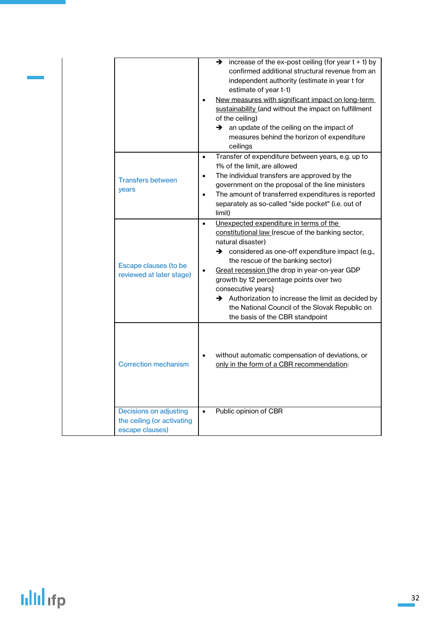|                                                                         | increase of the ex-post ceiling (for year $t + 1$ ) by<br>→<br>confirmed additional structural revenue from an<br>independent authority (estimate in year t for<br>estimate of year t-1)<br>New measures with significant impact on long-term<br>sustainability (and without the impact on fulfillment<br>of the ceiling)<br>an update of the ceiling on the impact of<br>→<br>measures behind the horizon of expenditure<br>ceilings<br>Transfer of expenditure between years, e.g. up to<br>$\bullet$ |
|-------------------------------------------------------------------------|---------------------------------------------------------------------------------------------------------------------------------------------------------------------------------------------------------------------------------------------------------------------------------------------------------------------------------------------------------------------------------------------------------------------------------------------------------------------------------------------------------|
| <b>Transfers between</b><br><b>vears</b>                                | 1% of the limit, are allowed<br>The individual transfers are approved by the<br>government on the proposal of the line ministers<br>The amount of transferred expenditures is reported<br>$\bullet$<br>separately as so-called "side pocket" (i.e. out of<br>limit)                                                                                                                                                                                                                                     |
| Escape clauses (to be<br>reviewed at later stage)                       | Unexpected expenditure in terms of the<br>$\bullet$<br>constitutional law (rescue of the banking sector,<br>natural disaster)<br>→ considered as one-off expenditure impact (e.g.,<br>the rescue of the banking sector)<br>Great recession (the drop in year-on-year GDP<br>growth by 12 percentage points over two<br>consecutive years)<br>$\rightarrow$ Authorization to increase the limit as decided by<br>the National Council of the Slovak Republic on<br>the basis of the CBR standpoint       |
| <b>Correction mechanism</b>                                             | without automatic compensation of deviations, or<br>only in the form of a CBR recommendation:                                                                                                                                                                                                                                                                                                                                                                                                           |
| Decisions on adjusting<br>the ceiling (or activating<br>escape clauses) | Public opinion of CBR<br>$\bullet$                                                                                                                                                                                                                                                                                                                                                                                                                                                                      |

# **Iilli** ifp

Ī